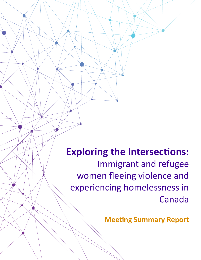## **Exploring the Intersections:**

Immigrant and refugee women fleeing violence and experiencing homelessness in Canada

**Meeting Summary Report**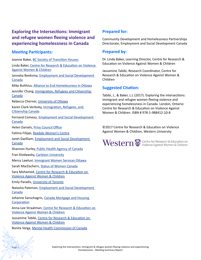## **Exploring the Intersections: Immigrant and refugee women fleeing violence and experiencing homelessness in Canada**

### **Meeting Participants:**

Joanne Baker, [BC Society of Transition Houses](https://bcsth.ca/publications/building-supports-phase-1-report/)

Linda Baker, [Centre for Research & Education on Violence](http://learningtoendabuse.ca/)  [Against Women & Children](http://learningtoendabuse.ca/)

Janneka Beeksma, **Employment and Social Development** [Canada](https://www.canada.ca/en/employment-social-development.html)

Mike Bulthius, [Alliance to End Homelessness in Ottawa](http://endhomelessnessottawa.ca/)

Jennifer Chang, Immigration, Refugees and Citizenship [Canada](http://www.cic.gc.ca/english/department/)

Rebecca Cherner, [University of Ottawa](https://www.uottawa.ca/en)

Karen Clark-Verbisky, [Immigration, Refugees, and](http://www.cic.gc.ca/english/department/)  [Citizenship Canada](http://www.cic.gc.ca/english/department/)

Fernand Comeau, [Employment and Social Development](https://www.canada.ca/en/employment-social-development.html)  **[Canada](https://www.canada.ca/en/employment-social-development.html)** 

Helen Daniels, [Privy Council Office](http://www.pco-bcp.gc.ca/index.asp?lang=eng)

Fatima Filippi, [Rexdale Women's Centre](http://www.rexdalewomen.org/)

Janet Gwilliam, Employment and Social Development [Canada](https://www.canada.ca/en/employment-social-development.html)

Shannon Hurley, [Public Health Agency of Canada](https://www.canada.ca/en/public-health.html)

Fran Klodawsky, [Carleton University](http://carleton.ca/)

Mercy Lawluvi, [Immigrant Women Services Ottawa](http://www.immigrantwomenservices.com/)

Sarah MacEachern, [Status of Women Canada](http://www.swc-cfc.gc.ca/index-en.html)

Sara Mohamed, [Centre for Research & Education on](http://learningtoendabuse.ca/)  [Violence Against Women & Children](http://learningtoendabuse.ca/)

Emily Paradis, [University of Toronto](https://www.utoronto.ca/)

Natasha Pateman, [Employment and Social Development](https://www.canada.ca/en/employment-social-development.html)  [Canada](https://www.canada.ca/en/employment-social-development.html)

Johanne Sanschagrin, [Canada Mortgage and Housing](https://www.cmhc-schl.gc.ca/en/)  **[Corporation](https://www.cmhc-schl.gc.ca/en/)** 

Anna-Lee Straatman, [Centre for Research & Education on](http://learningtoendabuse.ca/)  [Violence Against Women & Children](http://learningtoendabuse.ca/)

Jassamine Tabibi, [Centre for Research & Education on](http://learningtoendabuse.ca/)  [Violence Against Women & Children](http://learningtoendabuse.ca/)

Bonita Varga, [Mental Health Commission of Canada](https://www.mentalhealthcommission.ca/English/)

### **Prepared for:**

Community Development and Homelessness Partnerships Directorate, Employment and Social Development Canada

### **Prepared by:**

Dr. Linda Baker, Learning Director, Centre for Research & Education on Violence Against Women & Children

Jassamine Tabibi, Research Coordinator, Centre for Research & Education on Violence Against Women & Children

### **Suggested Citation:**

Tabibi, J., & Baker, L.L (2017). Exploring the intersections: immigrant and refugee women fleeing violence and experiencing homelessness in Canada. London, Ontario: Centre for Research & Education on Violence Against Women & Children. ISBN # 978-1-988412-10-8

©2017 Centre for Research & Education on Violence Against Women & Children, Western University

Western Western & Centre for Research & Education on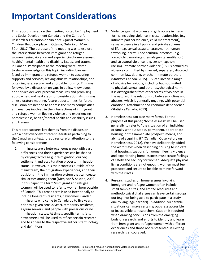# **Important Considerations**

This report is based on the meeting hosted by Employment and Social Development Canada and the Centre for Research & Education on Violence Against Women & Children that took place in Ottawa, Ontario on March 30th, 2017. The purpose of the meeting was to explore the intersections between immigrant and refugee women fleeing violence and experiencing homelessness, health/mental health and disability issues, and trauma in Canada. Participants at the meeting were invited to share knowledge on this topic, including barriers faced by immigrant and refugee women to accessing supports and services, leaving abusive relationships, and obtaining safe, secure, and affordable housing. This was followed by a discussion on gaps in policy, knowledge, and service delivery, practical measures and promising approaches, and next steps for consideration. As this was an exploratory meeting, future opportunities for further discussion are needed to address the many complexities and nuances involved in the intersections of immigrant and refugee women fleeing violence and experiencing homelessness, health/mental health and disability issues, and trauma.

This report captures key themes from the discussion with a brief overview of recent literature pertaining to the Canadian context. It requires careful attention to the following considerations:

1. Immigrants are a heterogeneous group with vast differences and their experiences can be shaped by varying factors (e.g. pre-migration journey, settlement and acculturation process, immigration status). However, it is their contexts outside of the mainstream, their migration experiences, and their positions in the immigration system that can create similarities among them (Menjivar & Salcido, 2002). In this paper, the term 'immigrant and refugee women' will be used to refer to women born outside of Canada. This broad term is used intentionally to include long-term residents, newcomers (landed immigrants who came to Canada up to five years prior to a given census year), temporary residents, asylum seekers, and people with precarious or no immigration status. At times, specific terms (e.g. newcomers), will be used to reflect certain research and to adhere to the respective author's terminology and definitions.

- 2. Violence against women and girls occurs in many forms, including violence in close relationships (e.g. intimate partner violence, child maltreatment), sexual violence in all public and private spheres of life (e.g. sexual assault, harassment), human trafficking, harmful sociocultural practices (e.g. forced child marriages, female genital mutilation) and structural violence (e.g. sexism, ageism, racism). Intimate partner violence (IPV) is defined as violence committed by married, separated, divorced, common-law, dating, or other intimate partners (Statistics Canada, 2015). IPV can involve a range of abusive behaviours, including but not limited to physical, sexual, and other psychological harm. It is distinguished from other forms of violence in the nature of the relationship between victims and abusers, which is generally ongoing, with potential emotional attachment and economic dependence (Statistics Canada, 2013).
- 3. Homelessness can take many forms. For the purpose of this paper, 'homelessness' will be used generally to refer to "the situation of an individual or family without stable, permanent, appropriate housing, or the immediate prospect, means, and ability of acquiring it" (Canadian Observatory on Homelessness, 2012). We have deliberately added the word 'safe' when describing housing to indicate that housing situations for women fleeing violence and experiencing homelessness must create feelings of safety and security for women. Adequate physical living conditions are not enough; women must feel protected and secure to be able to move forward with their lives.
- 4. Research studies on homelessness involving immigrant and refugee women often include small sample sizes, and limited resources and methodological challenges can leave certain groups out (e.g. not being able to participate in a study due to language barriers). In addition, vulnerable situations can make certain groups less accessible or inaccessible to researchers. Caution is required when drawing conclusions from the emerging body of research, and efforts to identify and learn from immigrant and refugee women with different experiences and those not represented in existing research is encouraged.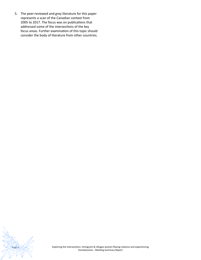5. The peer-reviewed and grey literature for this paper represents a scan of the Canadian context from 2005 to 2017. The focus was on publications that addressed some of the intersections of the key focus areas. Further examination of this topic should consider the body of literature from other countries.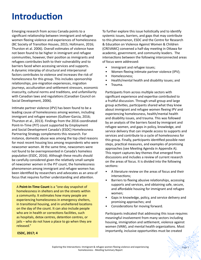## **Introduction**

Emerging research from across Canada points to a significant relationship between immigrant and refugee women fleeing violence and experiences of homelessness (BC Society of Transition Houses, 2015; Holtmann, 2016; Thurston et al. 2006). Overall estimates of violence have not been found to be higher in immigrant and refugee communities, however, their position as immigrants and refugees contributes both to their vulnerability and to barriers faced when accessing services and supports. A dynamic interplay of structural and interpersonal factors contributes to violence and increases the risk of homelessness for this group. This includes sponsorship relationships, pre-migration experiences, migration journeys, acculturation and settlement stressors, economic insecurity, cultural norms and traditions, and unfamiliarity with Canadian laws and regulations (Canadian Council on Social Development, 2006).

Intimate partner violence (IPV) has been found to be a leading cause of homelessness among women, including immigrant and refugee women (Gulliver-Garcia, 2016; Thurston et al., 2013). Findings from the 2016 coordinated Point-In-Time (PiT) count supported by Employment and Social Development Canada's (ESDC) Homelessness Partnering Strategy complements this research. For instance, domestic abuse was among the top cited reasons for most recent housing loss among respondents who were newcomer women. At the same time, newcomers were not found to be overrepresented in Canada's homeless population (ESDC, 2016). Although these results should be carefully considered given the relatively small sample of newcomer women in the PiT count, the homelessness phenomenon among immigrant and refugee women has been identified by researchers and advocates as an area of focus that requires further understanding and attention.

A **Point-In-Time Count** is a "one-day snapshot of homelessness in shelters and on the streets within a community. It estimates how many people are experiencing homelessness in emergency shelters, in transitional housing, and in unsheltered locations on the day of the count. It can also include people who are in health or corrections facilities, such as hospitals, detox centres, detention centres, or jails – who do not have a place to go when they are released."

To further explore this issue holistically and to identify systemic issues, barriers, and gaps that may contribute to this phenomenon, ESDC and the Centre for Research & Education on Violence Against Women & Children (CREVAWC) convened a half-day meeting in Ottawa for academic, government, and community leaders. The intersections between the following interconnected areas of focus were addressed:

- Immigrant and refugee issues;
- Women fleeing intimate partner violence (IPV);
- Homelessness;
- Health/mental health and disability issues; and
- Trauma.

Participants from across multiple sectors with significant experience and expertise contributed to a fruitful discussion. Through small group and large group activities, participants shared what they knew about immigrant and refugee women fleeing IPV and experiencing homelessness, health/mental health and disability issues, and trauma. This was followed by an analysis of the barriers faced by immigrant and refugee women, and gaps in policy, knowledge, and service delivery that can impede access to supports and services and contribute to a cycle of homelessness for this group. Finally, participants identified possible next steps, practical measures, and examples of promising approaches (see Meeting Agenda in Appendix A). This report captures key themes that emerged from discussions and includes a review of current research on the areas of focus. It is divided into the following sections:

- A literature review on the areas of focus and their intersections;
- Barriers to fleeing abusive relationships, accessing supports and services, and obtaining safe, secure, and affordable housing for immigrant and refugee women;
- Gaps in knowledge, policy, and service delivery and promising approaches; and
- Considerations for moving forward.

Participants indicated that addressing this issue requires meaningful involvement from many sectors including housing, immigration and settlement, violence against women (VAW), and mental health organizations. Most importantly, inclusive opportunities must be created

#### **ESDC, 2017; 4**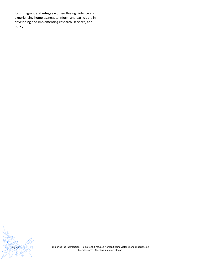for immigrant and refugee women fleeing violence and experiencing homelessness to inform and participate in developing and implementing research, services, and policy.

Y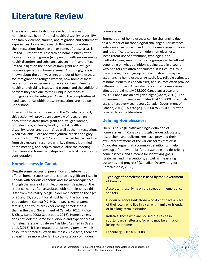## **Literature Review**

There is a growing body of research on the areas of homelessness, health/mental health, disability issues, IPV and family violence, trauma, and migration and settlement experiences. However, research that seeks to address the intersections between all, or some, of these areas is limited. Furthermore, research on homelessness often focuses on certain groups (e.g. persons with serious mental health disorders and substance abuse; men), and offers limited insight on the needs of immigrant and refugee women experiencing homelessness. Accordingly, less is known about the pathways into and out of homelessness for immigrant and refugee women, how homelessness relates to their experiences of violence, health/mental health and disability issues, and trauma, and the additional barriers they face due to their unique positions as immigrants and/or refugees. As such, the complexities of lived experience within these intersections are not well understood.

In an effort to better understand the Canadian context, this section will provide an overview of research on each of these areas (immigrant and refugee women, homelessness, violence, health/mental health and disability issues, and trauma), as well as their intersections, when available. Peer-reviewed journal articles and grey literature from 2005-2017 are summarized below. Findings from this research resonate with key themes identified at the meeting, and help to contextualize the meeting discussion and frame next steps and practical measures for consideration.

### **Homelessness in Canada**

Despite some successful prevention and intervention efforts, homelessness continues to be a significant issue in Canada with serious economic and social consequences. Though the image of a single, older man sleeping on the street corner is often associated with homelessness, this is far from the reality. Single, older men between the ages of 25 and 55, account for almost half of the homeless population in Canada (47.5%), however, more women, families, and youth are experiencing homelessness than in the past (Government of Canada, 2012; Richter & Chaw-Kant, 2008; Gaetz et al., 2016). Homelessness does not look the same for everyone and experiences of homelessness are not always "visible". As cited in Gaetz et al. (2013), it is estimated that for every person who is absolutely homeless, often the most visible type, there are at least three more who fall into the category of hidden

homelessness.

Enumeration of homelessness can be challenging due to a number of methodological challenges. For instance, individuals can move in and out of homelessness quickly and it is difficult to capture hidden homelessness. Inconsistent use of definitions, typologies, and methodologies, means that some groups can be left out depending on what definition is being used in a count. VAW shelters are often not counted in PiT counts, thus missing a significant group of individuals who may be experiencing homelessness. As such, few reliable estimates of homelessness in Canada exist, and sources often provide different numbers. Advocates report that homelessness affects approximately 235,000 Canadians a year and 35,000 Canadians on any given night (Gaetz, 2016). The Government of Canada estimates that 150,000 individuals use shelters every year across Canada (Government of Canada, 2017). This range (150,000 to 235,000) is often referred to in the literature.

## **Defining Homelessness**

There is no single "official" single definition of homelessness in Canada although various advocates, researchers, and policymakers have provided their own interpretations of the various forms that exist. Advocates argue that a common definition can help develop a framework for "understanding and describing homelessness, and a means for identifying goals, strategies, and interventions, as well as measuring outcomes and progress" (Canadian Observatory for Homelessness, 2008).

### **Typology of homelessness used by the Government of Canada:**

**Absolute:** those living on the street or in emergency shelters

**Hidden or concealed:** those who do not have a place of their own, who live in a car, with family or friends, or in a long-term institution

**Relative:** those who are housed but reside in substandard shelter and/or who may be at risk of losing their homes

Echenberg & Jensen, 2008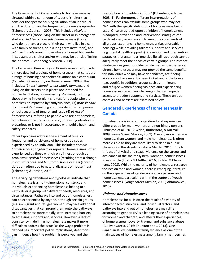The Government of Canada refers to homelessness as situated within a continuum of types of shelter that consider the specific housing situation of an individual and the duration and/or frequency of homeless episodes (Echenberg & Jensen, 2008). This includes *absolute homelessness* (those living on the street or in emergency shelters), *hidden or concealed homelessness* (those who do not have a place of their own, who live in a car, with family or friends, or in a long-term institution), and *relative homelessness* (those who are housed but reside in substandard shelter and/or who may be at risk of losing their homes) (Echenberg & Jensen, 2008).

The Canadian Observatory on Homelessness has provided a more detailed typology of homelessness that considers a range of housing and shelter situations on a continuum (Canadian Observatory on Homelessness, 2008). This includes: (1) *unsheltered, or absolutely homeless* and living on the streets or in places not intended for human habitation, (2) *emergency sheltered*, including those staying in overnight shelters for people who are homeless or impacted by famiy violence, (3) *provisionally accommodated*, meaning accommodation is temporary or lacks security of tenure, and lastly (4) *at risk of homelessness*, referring to people who are not homeless, but whose current economic and/or housing situation is precarious or is not in accordance with public health and safety standards.

Other typologies address the element of time, or frequency and persistence of homeless episodes experienced by an individual. This includes: *chronic homelessness* (long-term or repeated homelessness often experienced by those with chronic illness or addiction problems); *cyclical homelessness* (resulting from a change in circumstance), and *temporary homelessness* (short in duration, often due to natural disasters or house fires) (Echenberg & Jensen, 2008).

These varying definitions and typologies indicate that homelessness is a multi-dimensional construct and individuals experiencing homelessness belong to a vastly diverse group with different needs, resources, and circumstances. Pathways into and out of homelessness can be experienced by anyone, although certain groups (e.g. immigrant and refugee women) may face additional disadvantages that can propel them onto the pathways to homelessness more rapidly, with increased barriers to accessing supports and services. However, a lack of consistency in defining homelessness makes it more difficult to address the issue "as the way a problem is defined has important policy implications; definitions can influence how the problem is perceived and the

prescription of possible solutions" (Echenberg & Jensen, 2008; 1). Furthermore, different interpretations of homelessness can exclude some groups who may not "fit" with the specific definition of homelessness being used. Once an agreed-upon definition of homelessness is adopted, prevention and intervention strategies can be developed, or enhanced, to meet the core needs of all groups experiencing homelessness (i.e. affordable housing) while providing tailored supports and services (e.g. mental health supports). Prevention and intervention strategies that assume a "one-size fits all" approach cannot adequately meet the needs of certain groups. For instance, strategies designed for older, single men who experience chronic homelessness may not provide the same benefits for individuals who may have dependents, are fleeing violence, or have recently been kicked out of the house (e.g. youth). In addition, groups such as immigrant and refugee women fleeing violence and experiencing homelessness face many challenges that can impede access to broader supports and services. These unique contexts and barriers are examined below.

## **Gendered Experiences of Homelessness in Canada**

Homelessness is inherently gendered and experiences differ greatly for men, women, and non-binary persons (Thurston et al., 2013; Walsh, Rutherford, & Kuzmak, 2009; Yonge Street Mission, 2009). Overall, more men are homeless than women, and male homelessness is often more visible as they are more likely to sleep in public places or on the streets (Kirkby & Mettler, 2016). Due to threats of physical and sexual violence on the streets and avoidance of the shelter system, women's homelessness is less visible (Kirkby & Mettler, 2016; Richter & Chaw-Kant, 2008). While the majority of homelessness research focuses on men and women, there is emerging literature on the experiences of gender non-binary persons and homelessness, particularly within the context of youth homelessness. (Yonge Street Mission, 2009; Abramovich, 2013).

### *Violence and Homelessness*

Homelessness for all is often the result of a variety of interconnected structural and individual factors, and pathways into and out of homelessness may differ according to gender. IPV is a leading cause of homelessness for women and children, and affects their experiences of homelessness, poverty, trauma, and substance abuse (Gulliver-Garcia, 2016; Thurston et al., 2013). One Canadian study identified family violence as one of the main causes of homelessness among family members (as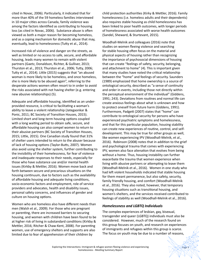cited in Novac, 2006). Particularly, it indicated that for more than 40% of the 59 homeless families interviewed in 10 major cities across Canada, family violence was among the factors identified as contributing to housing loss (as cited in Novac, 2006). Substance abuse is often viewed as both a major reason for becoming homeless, and as a coping mechanism for domestic abuse that may, eventually, lead to homelessness (Tutty et al., 2014).

Increased risk of violence and danger on the streets, as well as limited or no access to safe, secure, and affordable housing, leads many women to remain with violent partners (Gaetz, Donaldson, Richter, & Gulliver, 2013; Thurston et al., 2013; Thurston et al., 2006; Tutty, 2006; Tutty et al., 2014). Little (2015) suggests that "an abused woman is more likely to be homeless, and once homeless, she is more likely to be abused again", referring to the desperate actions women often resort to in order to avoid the risks associated with not having shelter (e.g. entering new abusive relationships) (5).

Adequate and affordable housing, identified as an underprovided resource, is critical to facilitating a woman's ability to leave a violent relationship (Jategaonkar & Ponic, 2011; BC Society of Transition Houses, 2015). Limited short and long-term housing options coupled with a long waiting period to obtain safe, secure, and affordable housing can also compel women to return to their abusive partners (BC Society of Transition Houses, 2015; Little, 2015). One Canadian study found that 31% of shelter users intended to return to the abuser because of lack of housing options (Taylor-Butts, 2007). Women also avoid using the shelter system, further contributing to the invisibility of their homelessness, for fear of violence and inadequate responses to their needs, especially for those who have substance use and/or mental health issues (Kirkby & Mettler, 2016). Women move back and forth between secure and precarious situations on the housing continuum, due to factors such as the availability of affordable housing and adequate living conditions, socio-economic factors and employment, role of service providers and advocates, health and disability issues, personal safety concerns, and influences of gender and culture on housing options.

Women who are homeless also have different needs than men (Walsh et al., 2009). For those who are pregnant or parenting, there are increased barriers to securing housing, and women with children have been found to be at higher risk of living in substandard conditions (Kirkby & Mettler, 2016; Ritcher & Chaw-Kent, 2008). For parenting women, use of emergency shelters and supports are also limited due to fear of apprehension of their children by

child protection authorities (Kirky & Mettler, 2016). Family homelessness (i.e. homeless adults and their dependents) also requires stable housing as child homelessness has been linked to poor health outcomes, with longer periods of homelessness associated with worse health outcomes (Sandel, Sheward, & Sturtevant, 2015).

Woodhall-Melnik and colleagues (2016) note that studies on women fleeing violence and searching for stable housing often focus on the material and physical aspects of housing rather than recognizing the importance of psychosocial dimensions of housing that can create "feelings of safety, security, belonging, and attachment to home" (4). This is important given that many studies have noted the critical relationship between the "home" and feelings of security. Saunders (1989) emphasized that home ownership is a source of ontological security, described as "a sense of continuity and order in events, including those not directly within the perceptual environment of the individual" (Giddens, 1991; 243). Deviations from routines and normal life can create anxious feelings about what is unknown and how to protect oneself from future harm (Giddens, 1991). Furthermore, Padgett (2007) states that "home" can contribute to ontological security for persons who have experienced psychiatric symptoms and homelessness, and that for this particular population, housing stability can create new experiences of routine, control, and selfdevelopment. This may be true for other groups as well, like women experiencing IPV (Woodhall-Melnik, et al., 2016). Robinson (2008) notes that in addition to the grief and psychological trauma that comes with experiencing IPV, women also face alienation that evolves from being without a home. Thus, housing instability can further exacerbate the trauma that women experience when living with abusive partners or attempting to leave them (Woodhall-Melnik et al., 2016). Women in one study who had left violent households indicated that stable housing for them meant permanence, but also safety, security, family friendly housing, and comfort (Woodhall-Melnik et al., 2016). They also noted, however, that temporary housing situations such as transitional housing, and women's shelters, and the services received contributed to feelings of stability as well (Woodhall-Melnik et al., 2016).

### *Homelessness and LGBTQ Individuals*

The complex experiences of lesbian, gay, bisexual, transgender and queer (LGBTQ) individuals must also be considered. However, much of the research found on this group focuses on youth, and research on experiences of immigrants and refugees within this group is scarce. The focus on youth may be due to a number of reasons,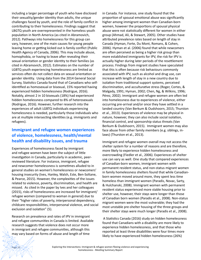including a larger percentage of youth who have disclosed their sexuality/gender identity than adults, the unique challenges faced by youth, and the role of family conflict in contributing to their homelessness. Findings suggest that LBGTQ youth are overrepresented in the homeless youth population in North America (as cited in Abramovich, 2012). Pathways into homelessness for this group can vary, however, one of the main causes for young people leaving home or getting kicked out is family conflict (Public Health Agency of Canada, 2006). This may include abuse, homophobia, or having to leave after revealing their sexual orientation or gender identity to their families (as cited in Abramovich, 2012). Estimates on the number of LGBTQ youth experiencing homelessness are limited as services often do not collect data on sexual orientation or gender identity. Using data from the 2014 General Social Survey, Statistics Canada found that of Canadians who selfidentified as homosexual or bisexual, 15% reported having experienced hidden homelessness (Rodrigue, 2016). Notably, almost 2 in 10 bisexuals (18%) had experienced hidden homelessness compared to 8% of heterosexuals (Rodrigue, 2016). However, further research into the experiences of adult LGBTQ individuals experiencing homelessness is needed, particularly those individuals who are at multiple intersecting identities (e.g. immigrants and refugees).

## **Immigrant and refugee women experiences of violence, homelessness, health/mental health and disability issues, and trauma**

Experiences of homelessness faced by immigrant and refugee women have been the subject of little investigation in Canada, particularly in academic, peerreviewed literature. For instance, immigrant, refugee and newcomer homelessness is sometimes alluded to in general studies on women's homelessness or newcomers' housing insecurity (Ives, Hanley, Walsh, Este, Ben-Soltane, & Pearce, 2015). However, the complexities of the issues related to violence, poverty, discrimination, and health are missed. As cited in the paper by Ives and her colleagues (2015), risks of homelessness are increased for immigrant/ refugee women (compared to woman in general) due to their "higher rates of poverty, interpersonal dependency, childcare responsibilities, interpersonal violence, and social exclusion and isolation" (5).

Research on prevalence and rates of IPV in immigrant and refugee communities in Canada is limited. Available research suggests that violence does not occur more in immigrant and refugee communities, although this may vary based on forms of abuse and length of time

in Canada. For instance, one study found that the proportion of spousal emotional abuse was significantly higher among immigrant women than Canadian-born women, however the proportions of spousal physical abuse were not statistically different for women in either group (Ahmad, Ali, & Stewart, 2005). Other studies have attributed prevalence rates based on length of stay in Canada (Hyman, Forte, Du Mont, Romans, & Cohen, 2006). Hyman et al. (2006) found that while newcomers are often perceived as being a higher risk group than more established immigrants for IPV, the risk for IPV is actually higher during later periods of the resettlement process. Findings from migrant studies have speculated that this is often because risk behaviours commonly associated with IPV, such as alcohol and drug use, can increase with length of stay in a new country due to isolation from traditional support systems, perceived discrimination, and acculturative stress (Roger, Cortes, & Malgady, 1991; Hyman, 2002; Chen, Ng, & Wilkins, 1996; Pérez, 2002). Immigrant and refugee women are often led into homelessness due to experiences of violence, either occurring pre-arrival and/or once they have settled in a landed country (Van Berkum & Oudshoorn, 2015; Thurston et al., 2013). Experiences of violence may be physical in nature, however, they can also include social isolation, financial control, and sponsorship status threats (Van Berkum & Oudshoorn, 2015). Immigrant women may also face abuse from other family members (e.g. siblings, inlaws) (Thurston et al., 2013).

Immigrant and refugee women overall may not access the shelter system for a number of reasons and are therefore, more likely to experience hidden homelessness and overcrowding (Fiedler et al., 2006). Experiences of shelter use can vary as well. One study that compared experiences of Canadian-born women, immigrant women with permanent resident status, and non-status migrant women in family homelessness shelters found that while Canadianborn women moved around more, they spent less time homeless than immigrant women (Paradis, Novac, Sarty, & Hulchanski, 2008). Immigrant women with permanent resident status experienced more stable housing prior to shelter use, however, their stays were longer than those of Canadian born women (Paradis et al., 2008). Non-status migrant women were the most vulnerable; they had the most unstable pre-shelter housing of the three groups and their shelter stays were much longer (Paradis et al., 2008).

 A Statistics Canada (2016) study on hidden homelessness found that Canadians with a disability are more likely to experience hidden homelessness, and that those who reported at least three disabilities were four times more likely to have experienced hidden homelessness (26%)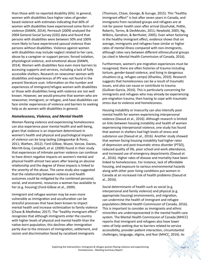than those with no reported disability (6%). In general, women with disabilities face higher rates of genderbased violence with estimates indicating that 60% of women with disabilities have experienced some form of violence (DAWN, 2014). Perreault (2009) analyzed the 2004 General Social Survey (GSS) data and found that persons with disabilities were between 50% and 100% more likely to have experienced spousal violence than persons without disabilities. Violence against women with disabilities may include neglect related to her care, abuse by a caregiver or support person, forced isolation, physiological violence, and emotional abuse (DAWN, 2014). Women with disabilities face even more barriers to accessing supports and services, including a lack of fully accessible shelters. Research on newcomer women with disabilities and experiences of IPV was not found in the present literature scan. Information on the number and experiences of immigrant/refugee women with disabilities or those with disabilities living with violence are not well known. However, we would presume that women who are newcomer, immigrant, or refugee, and have disabilities can face similar experiences of violence and barriers to seeking help as do women with disabilities in general.

### *Homelessness, Violence, and Mental Health*

Women fleeing violence and experiencing homelessness can also experience poor mental health and well-being, given that violence is an important determinant in women's health and physical and psychological impacts of violence can be long-lasting (Jategaonkar & Ponic, 2011; Wathen, 2012). Ford-Gilboe, Wuest, Varcoe, Davies, Merritt-Gray, Campbell, et al. (2009) found in their study that experiences of intimate partner violence can continue to have direct negative impacts on women's mental and physical health almost two years after leaving an abusive relationship and the degree of these impacts is linked to the severity of the abuse. The same study also suggested that the relationship between violence and health outcomes could be mitigated by the combined personal, social, and economic, resources a woman has available to her (e.g. housing) (Ford-Gilboe et al., 2009).

Immigrant and refugee women may be even more vulnerable as immigration and acculturation can be stressful processes that have been known to impact mental health and increase victimization to family violence (Chaze & Medhekar, 2017). The "healthy immigrant effect" recognizes that although immigrants enter the country with higher levels of physical and mental health than the native-born population, this declines after immigration partly due to the stressors of immigration, settlement, and racism and discrimination faced by racialized immigrants

(Thomson, Chaze, George, & Guruge, 2015). This "healthy immigrant effect" is lost after seven years in Canada, and immigrants from racialized groups and refugees are at risk for poorer health soon after arrival (Gushulak, Pottie, Roberts, Torres, & DesMeules, 2011; Newbold, 2005; Ng, Wilkins, Gendron, & Bertholet, 2005). Even when factoring in the healthy immigrant effect, evidence shows that on average, immigrants and refugees have similar or higher rates of mental illness compared with non-immigrants, although rates vary between different ethnocultural groups (as cited in Mental Health Commission of Canada, 2016).

Furthermore, women's pre-migration experiences must be recognized; there are often histories of trauma including torture, gender-based violence, and living in dangerous situations (e.g. refugee camps) (Khanlou, 2010). Research suggests that homelessness can be a result of traumatic issues, and also can cause or contribute to trauma (Gulliver-Garcia, 2016). This is particularly concerning for immigrants and refugees who may already be experiencing pre-migration trauma, then having to cope with traumatic stress due to violence and homelessness.

Housing instability or insecurity can also intensify poor mental health for women experiencing interpersonal violence (Daoud et al., 2016). Although research is limited on links between housing instability and health of women experiencing interpersonal violence, one study has found that women in shelters had high levels of stress and substance use (Daoud et al., 2016). Another study showed that women facing housing instability had higher rates of depression and post-traumatic stress disorder (PTSD), reduced quality of life, poor school and work attendance, and increased use of emergency departments (Daoud et al., 2016). Higher rates of disease and mortality have been linked to homelessness. For instance, lack of affordable housing, and exposure to various environmental hazards along with other poor living conditions put women in Canada at an increased risk of health problems (Daoud et al., 2016).

Social determinants of health such as social (e.g. interpersonal and family violence) and physical (e.g. appropriate housing) environments, and migration, can undermine the health of immigrant and refugee populations (Mental Health Commission of Canada, 2016). This is important to consider as immigrants and ethnic minorities are underrepresented in the mental health care system. The Mental Health Commission of Canada (MHCC) reports that immigrant and refugees also have lower rates of help seeking due to barriers related to service accessibility, provider-patient interaction, circumstantial challenges, language, stigma, and fear (MHCC, 2016). As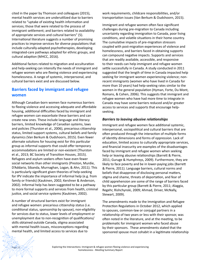cited in the paper by Thomson and colleagues (2015), mental health services are underutilized due to barriers related to "uptake of existing health information and services; those that were related to the process of immigrant settlement; and barriers related to availability of appropriate services and cultural barriers" (5). International literature suggests a number of promising practices to improve services for diverse populations that include culturally-adapted psychotherapies, developing integrated-care pathways adapted for ethnic groups, and cultural adaption (MHCC, 2016).

Additional factors related to migration and acculturation and help-seeking can intensify the needs of immigrant and refugee women who are fleeing violence and experiencing homelessness. A range of systemic, interpersonal, and cultural barriers exist and are discussed below.

## **Barriers faced by immigrant and refugee women**

Although Canadian-born women face numerous barriers to fleeing violence and accessing adequate and affordable housing, additional difficulties faced by immigrant and refugee women can exacerbate these barriers and can create new ones. These include language and literacy barriers, limited knowledge of Canadian systems, laws and policies (Thurston et al., 2006), precarious citizenship status, limited support systems, cultural beliefs and family dynamics (Van Berkum & Oudshoorn, 2015). Even fewer alternate solutions for housing exist for this particular group as informal supports that could offer temporary accommodations are limited or non-existent (Thurston et al., 2013; BC Society of Transition Houses, 2015). Refugees and asylum seekers often have even fewer social networks than other immigrants (Preston, Murdie, D'Addario, Sibanda, Murnaghan, Logan, & Ahn, 2011). This is particularly significant given theories of help-seeking for IPV indicate the importance of informal help (e.g. from family or friends) (Kaukinen, 2002; Kershner & Anderson, 2002). Informal help has been suggested to be a pathway to more formal supports and services from health, criminal justice, and social service systems (Kaukinen, 2002).

A number of structural barriers exist for immigrant and refugee women: precarious citizenship status (i.e. conditional status, sponsorship by spouse), non-eligibility for services due to status, lower levels of employment or unemployment due to non-recognition of qualifications/ skills obtained outside Canada, stigma associated with mental health issues, misconceptions regarding mental health, and limited access to services due to

work requirements, childcare responsibilities, and/or transportation issues (Van Berkum & Oudshoorn, 2015).

Immigrant and refugee women often face significant challenges during pre-migration to Canada including uncertainty regarding immigration to Canada, poor living conditions, and volatile situations in their home country. The cumulative impacts of pre-migration stressors coupled with post-migration experiences of violence and homelessness, and barriers faced in obtaining supports can compound negative impacts. Supports and services that are readily available, accessible, and responsive to their needs can help immigrant and refugee women settle successfully in Canada. A study conducted in 2011 suggested that the length of time in Canada impacted help seeking for immigrant women experiencing violence; nonrecent immigrants (women who have lived in Canada for more than 10 years) had help-seeking rates similar to the women in the general population (Hyman, Forte, Du Mont, Romans, & Cohen, 2006). This suggests that immigrant and refugee women who have had more time to integrate in Canada may have some barriers reduced and/or greater access to services and supports that encourage helpseeking.

### *Barriers to leaving abusive relationships*

Immigrant and refugee women face additional systemic, interpersonal, sociopolitical and cultural barriers that are often produced through the interaction of multiple forms of identity dimensions and forms of oppression. Lack of education, limited access to culturally appropriate services, and financial insecurity are examples of the disadvantages faced by immigrant and refugee women when seeking help or leaving abusive relationships (Barrett & Pierre, 2011; Guruge & Humphreys, 2009). Furthermore, they are likely to face poverty and be in lower-paying jobs (Barrett & Pierre, 2011). Language barriers, cultural norms and beliefs that disapprove of disclosing personal matters, stigma and shame, threats of deportation, and fear of child apprehension are some of the range of barriers faced by this particular group (Barrett & Pierre, 2011; Alaggia, Regehr, Rishchynski, 2009; Ahmad, Driver, McNally, Stewart, 2009).

The amendments made to the Immigration and Refugee Protection Regulations in October 2012, which applied to spouses, common-law or conjugal partners in a relationship of two years or less with their sponsor, was often noted in the literature, and at the meeting, to be problematic for immigrant women who faced abuse by their sponsors. These amendments stated that the sponsored spouse must cohabit in a legitimate relationship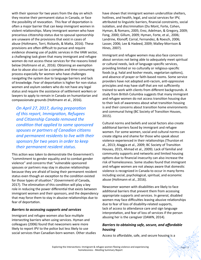with their sponsor for two years from the day on which they receive their permanent status in Canada, or face the possibility of revocation. This fear of deportation is often a major barrier that can keep immigrant women in violent relationships. Many immigrant women who have precarious citizenship status due to spousal sponsorship are unaware of the provisions that exist in cases of abuse (Holtmann, Torri, Rickards, & Matta, 2016). These provisions are often difficult to pursue and require evidence showing use of public services in the VAW sector, a challenging task given that many immigrant and refugee women do not access these services for the reasons listed below (Holtmann et al., 2016). Obtaining an exemption due to abuse also can be a complex and time-consuming process especially for women who have challenges navigating the system due to language barriers and lack of knowledge. Fear of deportation is higher for non-status women and asylum seekers who do not have any legal status and require the assistance of settlement workers or lawyers to apply to remain in Canada on humanitarian and compassionate grounds (Holtmann et al., 2016).

*On April 27, 2017, during preparation of this report, Immigration, Refugees and Citizenship Canada removed the condition that applied to some sponsored spouses or partners of Canadian citizens and permanent residents to live with their sponsors for two years in order to keep their permanent resident status.* 

This action was taken to demonstrate the Government's "commitment to gender equality and to combat gender violence" and concerns that "vulnerable sponsored spouses or partners may stay in abusive relationships because they are afraid of losing their permanent resident status even though an exception to the condition existed for those types of situation." (Government of Canada, 2017). The elimination of this condition will play a key role in reducing the power differential that exists between immigrant women and their sponsors, and the dependency that may force them to stay in abusive relationships due to fear of deportation.

### *Barriers to accessing supports and services*

Immigrant and refugee women also face multiple intersecting barriers when using services. Hyman and colleagues (2006) found that newcomers were more likely to report IPV to the police but less likely to use social services than Canadian-born women. Other studies have shown that immigrant women underutilize shelters, hotlines, and health, legal, and social services for IPV, attributed to linguistic barriers, financial constraints, social isolation, and discrimination (Du Mont, Forte, Cohen, Hyman, & Romans, 2005; Erez, Adelman, & Gregory, 2009; Fong, 2000; Gillum, 2009; Hyman, Forte, et al., 2006; Landrine, Klonoff, Corral, Fernandez, & Roesch, 2006; Lasser, 2006; Lee & Hadeed, 2009; Malley-Morrison & Hines, 2007).

Immigrant and refugee women may also face concerns about services not being able to adequately meet spiritual or cultural needs, lack of language-specific services, providing limited or no culturally or religious-specific foods (e.g. halal and kosher meats, vegetarian options), and absence of prayer or faith-based rooms. Some service providers have not adopted anti-racism, anti-oppressive principles and may have staff that are not sufficiently trained to work with clients from different backgrounds. A study from British Columbia suggests that many immigrant and refugee women do not access transition housing due to their lack of awareness about what transition housing is and their concerns about transition home environments and communal living (BC Society of Transition Houses, 2015).

Cultural norms and beliefs and social factors also create additional barriers faced by immigrant and refugee women. For some women, social and cultural norms can create stigma and shame for those who speak about violence experienced in their relationships (Thurston et al., 2013; Alaggia et al., 2009; BC Society of Transition Houses, 2015, Ahmad et al., 2009). Lack of familial and community supports and networks and limited housing options due to financial insecurity can also increase the risk of homelessness. Some studies found that immigrant and refugee women are not always aware that domestic violence is recognized in Canada to occur in many forms including social, psychological, spiritual, and economic abuse (Holtmann et al., 2016).

Newcomer women with disabilities are likely to face additional barriers that prevent them from accessing appropriate supports and services. In general, disabled women may face difficulties leaving abusive relationships due to fear of loss of disability-related supports, lack of access to attendance care and sign language interpretation, and fear of loss of services if the person abusing her is the caregiver (DAWN, 2014).

### *Barriers to obtaining safe, secure, and affordable housing*

Access to affordable, safe, and secure housing is a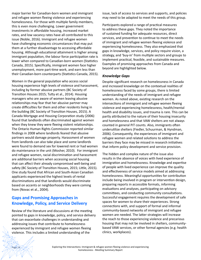major barrier for Canadian-born women and immigrant and refugee women fleeing violence and experiencing homelessness. For those with multiple family members, this is even more challenging. Lower government investments in affordable housing, increased market rates, and low vacancy rates have all contributed to this issue (Noble, 2016). Immigrant and refugee women have challenging economic circumstances that may put them at a further disadvantage to accessing affordable housing. Although educational attainment is higher among immigrant population, the labour force participation rate is lower when compared to Canadian-born women (Statistics Canada, 2015). Specifically, immigrant women face higher unemployment, more part-time work, and earn less than their Canadian-born counterparts (Statistics Canada, 2015).

Women in the general population who access social housing experience high levels of violence and harassment, including by former abusive partners (BC Society of Transition Houses 2015; Tutty et al., 2014). Housing managers who are aware of women leaving abusive relationships may fear that her abusive partner may create difficulties for them and other residents living in the building (BC Society of Transition Houses, 2015). A Canada Mortgage and Housing Corporation study (2006) found that landlords often discriminated against women when they knew they were fleeing violent relationships. The Ontario Human Rights Commission reported similar findings in 2008 where landlords feared that abusive partners would damage property. Harassment of women from landlords can also take place and some landlords were found to demand sex for lowered rent or had women do maintenance in the unit (Mosher, 2010). For immigrant and refugee women, racial discrimination and harassment are additional barriers when accessing social housing that can affect their already compromised well-being and safety (BC Society of Transition Houses, 2015; Little, 2015). One study found that African and South-Asian Canadian applicants experienced the highest levels of rental discriminations and that landlords would discriminate based on accents or neighborhoods they were coming from (Novac et al., 2004).

## **Gaps and Promising Approaches in Knowledge, Policy, and Service Delivery**

Review of the literature and discussions at the meeting pointed to gaps in knowledge, policy, and service delivery that can exacerbate challenges in understanding and addressing issues that contribute to homelessness experienced by immigrant and refugee women fleeing violence. This includes a limited understanding of the

issue, lack of access to services and supports, and policies may need to be adapted to meet the needs of this group.

Participants explored a range of practical measures to address these gaps. They noted the importance of sustained funding for adequate resources, direct services, and prevention to continue to meet the needs of immigrant and refugee women fleeing violence and experiencing homelessness. They also emphasized that gaps in knowledge, services, and policy require vision, a strategy, and 'buy-in' from multiple sectors and groups to implement practical, feasible, and sustainable measures. Examples of promising approaches from Canada and beyond are highlighted below.

### *Knowledge Gaps*

Despite significant research on homelessness in Canada and increased knowledge on the contextual realities of homelessness faced by some groups, there is limited understanding of the needs of immigrant and refugee women. As noted above, existing research on the intersections of immigrant and refugee women fleeing violence and experiencing homelessness, health/mental health and disability issues, and trauma is rare. This can be partly attributed to the nature of their housing insecurity and homelessness and that VAW shelters are not always counted in general PiT counts. Also, immigrants often underutilize shelters (Fiedler, Schuurman, & Hyndman, 2006). Consequently, the experiences of immigrant and refugee women and related solutions to address the barriers they face may be missed in research initiatives that inform policy development and service provision.

The hidden and complex nature of the issue also results in the absence of voices with lived experience of immigration and homelessness. Knowledge and expertise of people with lived experience can improve the quality and effectiveness of service models aimed at addressing homelessness. Meaningful opportunities for contribution include being involved in program or intervention design, preparing reports in accessible formats, informing evaluations and analyses, participating on advisory committees, and conducting community consultations. Successful engagement requires the development of safe spaces for women to share their experiences. Strong connections with, and support of formal and informal community-based networks of immigrant and refugee women are needed. The latter strategies will increase the reach to those experiencing violence and precarious housing that may not be involved in shelters, communitybased VAW services, or other formal agencies (e.g. health clinics, workplaces).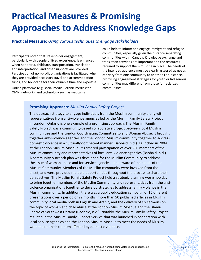# **Practical Measures & Promising Approaches to Address Knowledge Gaps**

### **Practical Measure:** *Using various techniques to engage stakeholders*

Participants noted that stakeholder engagement, particularly with people of lived experience, is enhanced when honoraria, childcare, transportation, translation and interpretation, and other supports are provided. Participation of non-profit organizations is facilitated when they are provided necessary travel and accommodation funds, and honoraria for their valuable time and expertise.

Online platforms (e.g. social media), ethnic media (the OMNI network), and technology such as webcams

could help to inform and engage immigrant and refugee communities, especially given the distance separating communities within Canada. Knowledge exchange and translation activities are important and the resources required to support them must be in place. The needs of the intended audience must be clearly assessed as needs can vary from one community to another. For instance, promising engagement strategies for youth or Indigenous communities may different from those for racialized communities.

## **Promising Approach:** *Muslim Family Safety Project*

The outreach strategy to engage individuals from the Muslim community along with representatives from anti-violence agencies led by the Muslim Family Safety Project in London, Ontario is one example of a promising approach. The Muslim Family Safety Project was a community-based collaborative project between local Muslim communities and the London Coordinating Committee to end Woman Abuse. It brought together anti-violence agencies and the London Muslim community together to address domestic violence in a culturally-competent manner (Baobaid, n.d.). Launched in 2004 at the London Muslim Mosque, it garnered participation of over 250 members of the Muslim community and representatives of local anti-violence agencies (Baobaid, n.d.). A community outreach plan was developed for the Muslim Community to address the issue of woman abuse and for service agencies to be aware of the needs of the Muslim Community. Members of the Muslim community were involved from the onset, and were provided multiple opportunities throughout the process to share their perspectives. The Muslim Family Safety Project held a strategic planning workshop day to bring together members of the Muslim Community and representatives from the antiviolence organizations together to develop strategies to address family violence in the Muslim community. In addition, there was a public education campaign of 15 different presentations over a period of 22 months, more than 50 published articles in Muslim community local media both in English and Arabic, and the delivery of six sermons on the topic of woman and child abuse at the London Muslim Mosque and the Islamic Centre of Southwest Ontario (Baobaid, n.d.). Notably, the Muslim Family Safety Project resulted in the Muslim Family Support Service that was launched in cooperation with local service agencies and the London Muslim Mosque to meet the needs of Muslim women and their children affected by domestic violence.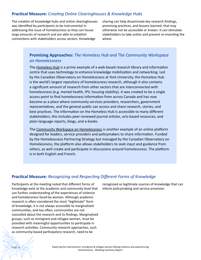### **Practical Measure:** *Creating Online Clearinghouses & Knowledge Hubs*

The creation of knowledge hubs and online clearinghouses was identified by participants to be instrumental in addressing the issue of homelessness as they can house large amounts of research and are able to establish connections with stakeholders across sectors. Knowledge

sharing can help disseminate key research findings, promising practices, and lessons learned, that may otherwise not be accessible or known. It can stimulate stakeholders to take action and prevent re-inventing the wheel.

## **Promising Approaches:** *The Homeless Hub and The Community Workspace on Homelessness*

The Homeless Hub is a prime example of a web-based research library and information centre that uses technology to enhance knowledge mobilization and networking. Led by the Canadian Observatory on Homelessness at York University, the Homeless Hub is the world's largest repository of homelessness research, although it also contains a significant amount of research from other sectors that are interconnected with homelessness (e.g. mental health, IPV, housing stability). It was created to be a single access point to find homelessness information from across Canada and has now become as a place where community services providers, researchers, government representatives, and the general public can access and share research, stories, and best practices. The information on the Homeless Hub is accessible to many different stakeholders; this includes peer-reviewed journal articles, arts-based resources, and plain-language reports, blogs, and e-books.

The Community Workspace on Homelessness is another example of an online platform designed for leaders, service providers and policymakers to share information. Funded by the Homelessness Partnering Strategy but managed by the Canadian Observatory on Homelessness, the platform also allows stakeholders to seek input and guidance from others, as well create and participate in discussions around homelessness. The platform is in both English and French.

## **Practical Measure:** *Recognizing and Respecting Different Forms of Knowledge*

Participants at the meeting noted that different forms of knowledge exist at the academic and community level that can further understanding of the experiences of violence and homelessness faced by women. Although academic research is often considered the most "legitimate" form of knowledge, it is not always accessible to marginalized communities, and too often, communities are not consulted about the research and its findings. Marginalized groups, such as immigrant and refugee women, must be provided with meaningful opportunities to participate in research activities. Community research approaches, such as community-based participatory research, need to be

recognized as legitimate sources of knowledge that can inform policymaking and service provision.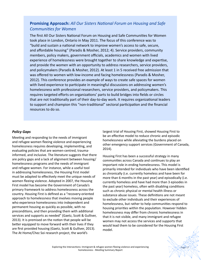## **Promising Approach:** *All Our Sisters National Forum on Housing and Safe Communities for Women*

The first All Our Sisters National Forum on Housing and Safe Communities for Women took place in London, Ontario in May 2011. The focus of this conference was to "build and sustain a national network to improve women's access to safe, secure, and affordable housing" (Paradis & Mosher, 2012; 4). Service providers, community members, policy makers, government officials, academics and women with lived experience of homelessness were brought together to share knowledge and expertise, and provide the women with an opportunity to address researchers, service providers, and policymakers (Paradis & Mosher, 2012). At least 1 in 5 received free admission that was offered to women with low-income and facing homelessness (Paradis & Mosher, 2012). This conference provides an example of ways to create safe spaces for women with lived experience to participate in meaningful discussions on addressing women's homelessness with professional researchers, service providers, and policymakers. This requires targeted efforts on organizations' parts to build bridges into fields or circles that are not traditionally part of their day-to-day work. It requires organizational leaders to support and champion this "non-traditional" sectoral participation and the financial resources to do so.

### *Policy Gaps*

Meeting and responding to the needs of immigrant and refugee women fleeing violence and experiencing homelessness requires developing, implementing, and evaluating policies that are women-centred, traumainformed, and inclusive. The literature suggests that there are policy gaps and a lack of alignment between housing/ homelessness programs and the needs of immigrant and refugee women. For instance, while a useful tool in addressing homelessness, the Housing First model must be adapted to effectively meet the unique needs of women fleeing violence. Adopted in 2007, the Housing First model has become the Government of Canada's primary framework to address homelessness across the country. Housing First is defined as a "recovery-oriented approach to homelessness that involves moving people who experience homelessness into independent and permanent housing as quickly as possible, with no preconditions, and then providing them with additional services and supports as needed" (Gaetz, Scott & Gulliver, 2013). It is premised on the notion that people will be better equipped to move forward with their lives if they are first provided housing (Gaetz, Scott & Gulliver, 2013). The At Home/Chez Soi research project, the world's

largest trial of Housing First, showed Housing First to be an effective model to reduce chronic and episodic homelessness while alleviating the burdens placed on other emergency support services (Government of Canada, 2014).

Housing First has been a successful strategy in many communities across Canada and continues to play an important role in ending homelessness. This model is primarily intended for individuals who have been identified as chronically (i.e. currently homeless and have been for more than 6 months in the past year) and episodically (i.e. currently homeless and have had more than 3 episodes in the past year) homeless, often with disabling conditions such as chronic physical or mental health illness or substance abuse issues. These definitions are not meant to exclude other individuals and their experiences of homelessness, but rather to help communities respond to housing priorities within the population. However hidden homelessness may differ from chronic homelessness in that it is not visible, and many immigrant and refugee women may not access the services and supports that would lead them to be considered for the Housing First model.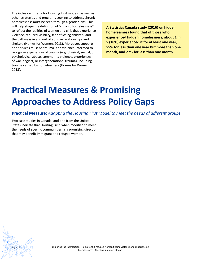The inclusion criteria for Housing First models, as well as other strategies and programs seeking to address chronic homelessness must be seen through a gender lens. This will help shape the definition of "chronic homelessness" to reflect the realities of women and girls that experience violence, reduced visibility, fear of losing children, and the pathways in and out of abusive relationships and shelters (Homes for Women, 2013). Moreover, supports and services must be trauma- and violence-informed to recognize experiences of trauma (e.g. physical, sexual, or psychological abuse, community violence, experiences of war, neglect, or intergenerational trauma), including trauma caused by homelessness (Homes for Women, 2013).

**A Statistics Canada study (2016) on hidden homelessness found that of those who experienced hidden homelessness, about 1 in 5 (18%) experienced it for at least one year, 55% for less than one year but more than one month, and 27% for less than one month.**

# **Practical Measures & Promising Approaches to Address Policy Gaps**

### **Practical Measure:** *Adapting the Housing First Model to meet the needs of different groups*

Two case studies in Canada, and one from the United States indicate that Housing First, when modified to meet the needs of specific communities, is a promising direction that may benefit immigrant and refugee women.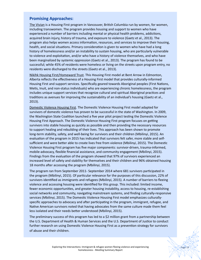### **Promising Approaches:**

The Vivian is a Housing First program in Vancouver, British Columbia run by women, for women, including transwomen. The program provides housing and support to women who have experienced a number of barriers including mental or physical health problems, addictions, acquired brain injury, history of trauma, and exposure to violence (Gaetz et al., 2013). The program also helps women access information, resources, and services to improve their housing, health, and social situations. Primary consideration is given to women who have had a long history of homelessness and/or an instability to sustain housing, who are particularly vulnerable to violence and exploitation, and/or who have a history of violence themselves, and who have been marginalized by systemic oppression (Gaetz et al., 2013). The program has found to be successful; while 45% of residents were homeless or living on the streets upon program entry, no residents were discharged to the streets (Gaetz et al., 2013).

Nikihk Housing First/Homeward Trust. This Housing First model at Bent Arrow in Edmonton, Alberta reflects the effectiveness of a Housing First model that provides culturally-informed Housing First and support services. Specifically geared towards Aboriginal peoples (First Nations, Metis, Inuit, and non-status individuals) who are experiencing chronic homelessness, the program includes unique support services that recognize cultural and spiritual Aboriginal practices and traditions as avenues for improving the sustainability of an individual's housing (Gaetz et al., 2013).

Domestic Violence Housing First. The Domestic Violence Housing First model adapted for survivors of domestic violence has proven to be successful in the state of Washington. In 2009, the Washington State Coalition launched a five year pilot project testing the Domestic Violence Housing First Approach. The Domestic Violence Housing First program focuses on getting survivors into stable housing as quickly as possible and then providing the necessary resources to support healing and rebuilding of their lives. This approach has been shown to promote long-term stability, safety, and well-being for survivors and their children (Mbilinyi, 2015). An evaluation of the program in 2015 has indicated that survivors felt safer, more stable and selfsufficient and were better able to create lives free from violence (Mbilinyi, 2015). The Domestic Violence Housing First program has five major components: survivor-driven, trauma-informed, mobile-advocacy, flexible financial assistance, and community engagement (Mbilinyi, 2015). Findings from the evaluation of the program showed that 97% of survivors experienced an increased level of safety and stability for themselves and their children and 96% obtained housing 18 months after accessing the program (Mbilinyi, 2015).

The program ran from September 2011- September 2014 where 681 survivors participated in the program (Mbilinyi, 2015). Of particular relevance for the purposes of this discussion, 22% of survivors identified as immigrants and refugees (Mbilinyi, 2015). A number of barriers to fleeing violence and accessing housing were identified for this group. This included: limited income, fewer economic opportunities, and greater housing instability, access to housing, re-establishing social networks and community, navigating mainstream systems, and finding culturally-responsive services (Mbilinyi, 2015). The Domestic Violence Housing First model emphasizes culturallyspecific approaches to advocacy and after participating in the program, immigrant, refugee, and Native American survivors noted that having advocates from the same culture made them feel less isolated and their needs better understood (Mbilinyi, 2015).

The preliminary success of this program has led to a \$2 million grant from a partnership between the U.S. Department of Health & Human Services and the U.S. Department of Justice to conduct further research on using Domestic Violence Housing First as a prevention strategy for survivors of abuse and their children.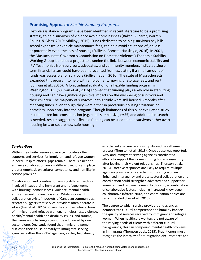### **Promising Approach:** *Flexible Funding Programs*

Flexible assistance programs have been identified in recent literature to be a promising strategy to help survivors of violence avoid homelessness (Baker, Billhardt, Warren, Rollins, & Glass, 2010; Mbilinyi, 2015). Funds dedicated to helping survivors pay bills, school expenses, or vehicle maintenance fees, can help avoid situations of job loss, or potentially even, the loss of housing (Sullivan, Bomsta, Hacskaylo, 2016). In 2001, the Massachusetts Governor's Commission on Domestic Violence's Economic Stability Working Group launched a project to examine the links between economic stability and IPV. Testimonies from survivors, advocates, and community members indicated shortterm financial crises could have been prevented from escalating if a small amount of funds was accessible for survivors (Sullivan et al., 2016). The state of Massachusetts expanded this program to help with employment, moving or storage fees, and rent (Sullivan et al., 2016). A longitudinal evaluation of a flexible funding program in Washington D.C. (Sullivan et al., 2016) showed that funding plays a key role in stabilizing housing and can have significant positive impacts on the well-being of survivors and their children. The majority of survivors in this study were still housed 6 months after receiving funds, even though they were either in precarious housing situations or homeless upon entry into the program. Though limitations of this pilot evaluation study must be taken into consideration (e.g. small sample size, n=55) and additional research is needed, results suggest that flexible funding can be used to help survivors either avert housing loss, or secure new safe housing.

### *Service Gaps*

Within their finite resources, service providers offer supports and services for immigrant and refugee women in need. Despite efforts, gaps remain. There is a need to enhance collaboration among different sectors and place greater emphasis on cultural competency and humility in service provision.

Collaboration and coordination among different sectors involved in supporting immigrant and refugee women with housing, homelessness, violence, mental health, and settlement in Canada is vital. While successful collaboration exists in pockets of Canadian communities, research suggests that service providers often operate in siloes (Ives et al., 2015). Given the complex intersections of immigrant and refugee women, homelessness, violence, health/mental health and disability issues, and trauma, the issues and challenges cannot be addressed by one sector alone. One study found that immigrant women disclosed their abuse primarily to immigrant-serving agencies, rather than VAW agencies, as they had already

established a secure relationship during the settlement process (Thurston et al., 2013). Once abuse was reported, VAW and immigrant-serving agencies coordinated efforts to support the women during housing insecurity after leaving their violent relationships (Thurston et al., 2013). Effective responses are likely to require multiple agencies playing a critical role in supporting women. Enhanced interagency and cross-sectoral collaboration and coordination could strengthen advocacy and support for immigrant and refugee women. To this end, a combination of collaborative factors including increased knowledge, collaborative infrastructure, and coordination bodies are recommended (Ives et al., 2015).

The degree to which service providers and agencies demonstrate cultural competence and humility impacts the quality of services received by immigrant and refugee women. When healthcare workers are not aware of the varying needs of clients with different cultural backgrounds, this can compound mental health problems in immigrants (Thomson et al., 2015). Practitioners must recognize the interplay of pre-migration circumstances and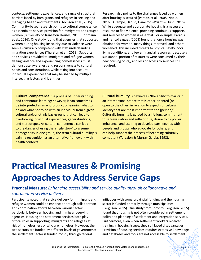contexts, settlement experiences, and range of structural barriers faced by immigrants and refugees in seeking and managing health and treatment (Thomson et al., 2015). Community-based research points to cultural competence as essential to service provision for immigrants and refugee women (BC Society of Transition Houses, 2015; Holtmann et al., 2016). One study found that agencies that supported women during housing insecurity due to violence were seen as culturally competent with staff understanding migration experiences (Thurston et al., 2013). Supports and services provided to immigrant and refugee women fleeing violence and experiencing homelessness must demonstrate awareness and responsiveness to cultural needs and considerations, while taking into account individual experiences that may be shaped by multiple intersecting factors and identities.

Research also points to the challenges faced by women after housing is secured (Paradis et al., 2008; Noble, 2016; O'Campo, Daoud, Hamilton-Wright & Dunn, 2016). While adequate and appropriate housing is a necessary resource to flee violence, providing continuous supports and services to women is essential. For example, Paradis and her colleagues (2008) found that once housing was obtained for women, many things improved, and others worsened. This included threats to physical safety, poor living conditions, and fewer financial resources (because a substantial portion of resources were consumed by their new housing costs), and loss of access to services still required.

**Practical Measure:** *Enhancing accessibility and service quality through collaborative and*  imbalance, and aspiring to develop partnerships with to the danger of using the 'single story' to assume **Cultural competence** is a process of understanding and continuous learning; however, it can sometimes be interpreted as an end product of learning what to do and what not to do with an individual from a given cultural and/or ethnic background that can lead to overlooking individual experiences, generalisations, and stereotypes. As cultural competence can lead homogeneity in one group, the term cultural humility is gaining recognition as an alternative framework within health contexts.

**Cultural humility** is defined as "the ability to maintain an interpersonal stance that is other-oriented (or open to the other) in relation to aspects of cultural identify that are most important to the [person]". Culturally humility is guided by a life-long commitment to self-evaluation and self-critique, desire to fix power people and groups who advocate for others, and can help support the process of becoming culturally competent (Tervalon & Murray-Garcia, 1998).

# **Practical Measures & Promising Approaches to Address Service Gaps**

**Practical Measure:** *Enhancing accessibility and service quality through collaborative and coordinated service delivery* 

Participants noted that service delivery for immigrant and refugee women could be enhanced through collaboration and coordination efforts between various sectors, particularly between housing and immigrant-serving agencies. Housing and settlement services both play critical roles in supporting immigrants and refugees at risk of homelessness or who are homeless. However, the two sectors are funded by different levels of government; the settlement sector is funded mostly through federal

initiatives with some provincial funding and the housing sector is funded primarily through municipalities (Ferguson, 2015). One study from Toronto (Ferguson, 2015) found that housing is not often considered in settlement policy and planning of settlement and integration services. Furthermore, even when settlement workers received training in housing issues, they still faced disadvantages. Provision of housing services requires extensive knowledge and databases and tools are not accessible to settlement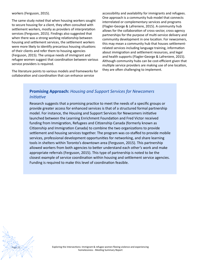workers (Ferguson, 2015).

The same study noted that when housing workers sought to secure housing for a client, they often consulted with settlement workers, mostly as providers of interpretation services (Ferguson, 2015). Findings also suggested that when there was a strong working relationship between housing and settlement services, the settlement workers were more likely to identify precarious housing situations of their clients and refer them to housing agencies (Ferguson, 2015). The unique needs of immigrant and refugee women suggest that coordination between various service providers is required.

The literature points to various models and frameworks for collaboration and coordination that can enhance service

accessibility and availability for immigrants and refugees. One approach is a community hub model that connects interrelated or complementary services and programs (Flagler-George & Lafreniere, 2015). A community hub allows for the collaboration of cross-sector, cross-agency partnerships for the purpose of multi-service delivery and community development in one location. For newcomers, this may mean a community hub that houses settlementrelated services including language training, information about immigration and settlement resources, and legal and health supports (Flagler-George & Lafreniere, 2015). Although community hubs can be cost-efficient given that multiple service providers are making use of one location, they are often challenging to implement.

## **Promising Approach:** *Housing and Support Services for Newcomers Initiative*

Research suggests that a promising practice to meet the needs of a specific groups or provide greater access for enhanced services is that of a structured formal partnership model. For instance, the Housing and Support Services for Newcomers initiative launched between the Learning Enrichment Foundation and Fred Victor received funding from Immigration, Refugees and Citizenship Canada (formerly known as Citizenship and Immigration Canada) to combine the two organizations to provide settlement and housing services together. The program was co-staffed to provide mobile services, professional development opportunities for networking, and share learning tools in shelters within Toronto's downtown area (Ferguson, 2015). This partnership allowed workers from both agencies to better understand each other's work and make appropriate referrals (Ferguson, 2015). This type of partnership is noted to be the closest example of service coordination within housing and settlement service agencies. Funding is required to make this level of coordination feasible.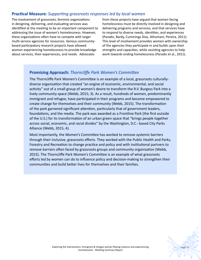### **Practical Measure:** *Supporting grassroots responses led by local women*

The involvement of grassroots, feminist organizations in designing, delivering, and evaluating services was identified at the meeting to be an important component to addressing the issue of women's homelessness. However, these organizations often have to compete with larger multi-service agencies for resources. Various communitybased participatory research projects have allowed women experiencing homelessness to provide knowledge about services, their experiences, and needs. Advocates

from these projects have argued that women facing homelessness must be directly involved in designing and delivering programs and services, and that services have to respond to diverse needs, identities, and experiences (Paradis, Bardy, Cummings Diaz, Athumani, Pereira, 2011). This level of involvement provides women with ownership of the agencies they participate in and builds upon their strengths and capacities, while assisting agencies to help work towards ending homelessness (Paradis et al., 2011).

## **Promising Approach:** *Thorncliffe Park Women's Committee*

The Thorncliffe Park Women's Committee is an example of a local, grassroots culturallydiverse organization that created "an engine of economic, environmental, and social activity" out of a small group of women's desire to transform the R.V. Burgess Park into a lively community space (Webb, 2015; 3). As a result, hundreds of women, predominantly immigrant and refugee, have participated in their programs and become empowered to create change for themselves and their community (Webb, 2015). The transformation of the park garnered significant attention, particularly that of government leaders, foundations, and the media. The park was awarded as a Frontline Park (the first outside of the U.S.) for its transformation of an urban green space that "brings people together across social, economic, and racial divides" by the Washington, D.C.- based City Parks Alliance (Webb, 2015; 4).

Most importantly, the Women's Committee has worked to remove systemic barriers through their inclusive, grassroots efforts. They worked with the Public Health and Parks, Forestry and Recreation to change practice and policy and with institutional partners to remove barriers often faced by grassroots groups and community organization (Webb, 2015). The Thorncliffe Park Women's Committee is an example of what grassroots efforts led by women can do to influence policy and decision-making to strengthen their communities and build better lives for themselves and their families.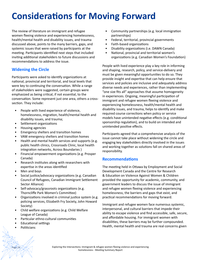# **Considerations for Moving Forward**

The review of literature on immigrant and refugee women fleeing violence and experiencing homelessness, health/mental health and disability issues, and trauma discussed above, points to the many barriers, gaps, and systemic issues that were raised by participants at the meeting. Participants identified next steps that included inviting additional stakeholders to future discussions and recommendations to address the issue.

## **Widening the Circle**

Participants were asked to identify organizations at national, provincial and territorial, and local levels that were key to continuing the conversation. While a range of stakeholders were suggested, certain groups were emphasized as being critical, if not essential, to the conversation. Some represent just one area, others a crosssection. They include:

- People with lived experience of violence, homelessness, migration, health/mental health and disability issues, and trauma;
- Settlement organizations
- Housing agencies
- Emergency shelters and transition homes
- VAW emergency shelters and transition homes
- Health and mental health services and supports (e.g. public health clinics, Crossroads Clinic, local health integration networks, Across Boundaries )
- Financial empowerment organizations (e.g. Prosper Canada)
- Research institutes along with researchers with expertise in the areas identified
- Men and boys
- Social justice/advocacy organizations (e.g. Canadian Council of Refugees, Canadian Immigrant Settlement Sector Alliance)
- Self-advocacy/grassroots organizations (e.g. Thorncliffe Park Women's Committee)
- Organizations involved in criminal justice system (e.g. policing services, Elizabeth Fry Society, John Howard Society)
- Child welfare organizations (e.g. Child Welfare League of Canada)
- Particular ethno-cultural communities
- Educational settings
- Politicians
- Community partnerships (e.g. local immigration partnerships)
- Federal, territorial, provincial governments
- Faith-based organizations
- Disability organizations (i.e. DAWN Canada)
- National, provincial and territorial women's organizations (e.g. Canadian Women's Foundation)

People with lived experience play a key role in informing and shaping, research, policy, and service-delivery and must be given meaningful opportunities to do so. They provide insight and expertise that can help ensure that services and policies are inclusive and adequately address diverse needs and experiences, rather than implementing "one size fits all" approaches that assume homogeneity in experiences. Ongoing, meaningful participation of immigrant and refugee women fleeing violence and experiencing homelessness, health/mental health and disability issues, and trauma, helps to identify and make required course corrections when policy or service models have unintended negative effects (e.g. conditional sponsorship regulation), and to build on intended and unintended positive effects.

Participants agreed that a comprehensive analysis of the issue cannot take place without widening the circle and engaging key stakeholders directly involved in the issues and working together as solutions fall on shared areas of responsibility.

## **Recommendations**

The meeting held in Ottawa by Employment and Social Development Canada and the Centre for Research & Education on Violence Against Women & Children provided the opportunity for academic, community, and government leaders to discuss the issue of immigrant and refugee women fleeing violence and experiencing homelessness, the barriers and gaps that exist, and practical recommendations for moving forward.

Immigrant and refugee women face numerous systemic, interpersonal, and cultural barriers that impede their ability to escape violence and find accessible, safe, secure, and affordable housing. For immigrant women with disabilities, these barriers may be further compounded. Health, mental health and trauma are real concerns given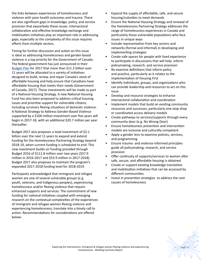the links between experiences of homelessness and violence with poor health outcomes and trauma. There are also significant gaps in knowledge, policy, and service provision that exacerbate these issues. Intersectoral collaboration and effective knowledge exchange and mobilization initiatives play an important role in addressing gaps, especially as the complexity of this issue requires efforts from multiple sectors.

Timing for further discussion and action on this issue is ideal as addressing homelessness and gender-based violence is a top priority for the Government of Canada. The federal government has just announced in their [Budget Plan](http://www.budget.gc.ca/2017/docs/plan/toc-tdm-en.html) for 2017 that more than \$11.2 billion over 11 years will be allocated to a variety of initiatives designed to build, renew, and repair Canada's stock of affordable housing and help ensure that Canadians have affordable housing that meets their needs (Government of Canada, 2017). These investments will be made as part of a National Housing Strategy. A new National Housing Fund has also been proposed to address critical housing issues and prioritize support for vulnerable citizens, including survivors fleeing situations of domestic violence. A National Strategy to Address Gender-Based Violence supported by a \$100 million investment over five years will begin in 2017-18, with an additional \$20.7 million per year thereafter.

Budget 2017 also proposes a total investment of \$2.1 billion over the next 11 years to expand and extend funding for the Homelessness Partnering Strategy beyond 2018-19, when current funding is scheduled to end. This new investment builds on funding provided through Budget 2016 of \$111.8 million over two years (\$57.9 million in 2016-2017 and \$53.9 million in 2017-2018). Budget 2017 also proposes to maintain the program's expanded 2017-2018 funding level for 2018-2019.

Participants acknowledged that immigrant and refugee women are one of several vulnerable groups (e.g. youth, veterans, and Indigenous peoples), experiencing homelessness and/or fleeing violence that require enhanced supports and services. The commitment of new funding for national initiatives coupled with emerging research on the contextual complexities of the experiences of immigrant and refugee women fleeing violence and experiencing homelessness, translate into a timely call to action. Recommendations for considerations are offered below:

- Expand the supply of affordable, safe, and secure housing/subsidies to meet demands
- Ensure the National Housing Strategy and renewal of the Homelessness Partnering Strategy addresses the range of homelessness experiences in Canada and particularly those vulnerable populations who face issues in unique ways
- Include representation from key sectors and networks (formal and informal) in developing and implementing strategies
- Create safe spaces for people with lived experience to participate in discussions that will help inform policymaking, research, and service provision
- Re-examine definitions that inform policy and practice, particularly as it relates to the implementation of Housing First
- Identify individuals, groups, and organizations who can provide leadership and resources to act on this issue
- Develop and resource strategies to enhance intersectoral collaboration and coordination
- Implement models that build on existing community resources and successes, particularly one-stop shop or coordinated access delivery models
- Create pathways to services/supports through every community door (e.g. No Wrong Door)
- Ensure homelessness prevention and intervention models are inclusive and culturally competent
- Apply a gender lens to examine policies, services, and programming
- Ensure trauma- and violence-informed principles guide all policymaking, research, and service provision
- Offer continuity of supports/services to women after safe, secure, and affordable housing is obtained
- Create or support existing knowledge translation and mobilization initiatives that can be accessed by different communities
- Invest in prevention strategies to address the root causes of homelessness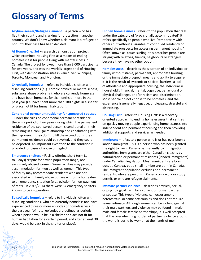# **Glossary of Terms**

**Asylum–seeker/Refugee claimant** – a person who has fled their country and is asking for protection in another country. We don't know whether a claimant is a refugee or not until their case has been decided.

**At Home/Chez Soi** – research demonstration project, which examined Housing First as a means of ending homelessness for people living with mental illness in Canada. The project followed more than 2,000 participants for two years, and was the world's largest trial of Housing First, with demonstration sites in Vancouver, Winnipeg, Toronto, Montréal, and Moncton.

**Chronically homeless** – refers to individuals, often with disabling conditions (e.g. chronic physical or mental illness, substance abuse problems), who are currently homeless and have been homeless for six months or more in the past year (i.e. have spent more than 180 nights in a shelter or place not fit for human habitation).

#### **Conditional permanent residency for sponsored spouses**

– under the rules on conditional permanent residence, there is a period of two years during which the permanent residence of the sponsored person is conditional on their remaining in a conjugal relationship and cohabitating with their sponsor. If they don't fulfill these conditions, their permanent residence could be revoked, and they could be deported. An important exception to the condition is provided for cases of abuse or neglect.

**Emergency shelters** – Facility offering short-term (1 to 3 days) respite for a wide population range, not exclusively abused women. Some facilities may provide accommodation for men as well as women. This type of facility may accommodate residents who are not associated with family abuse but are without a home due to an emergency situation (e.g., eviction for non-payment of rent). In 2013/2014 there were 84 emergency shelters known to be in operation.

**Episodically homeless** – refers to individuals, often with disabling conditions, who are currently homeless and have experienced three or more episodes of homelessness in the past year (of note, episodes are defined as periods when a person would be in a shelter or place not fit for human habitation for a certain period, and after at least 30 days, would be back in the shelter or place).

**Hidden homelessness** – refers to the population that falls under the category of 'provisionally accommodated'. It refers specifically to people who live "temporarily with others but without guarantee of continued residency or immediate prospects for accessing permanent housing." Often known as 'couch surfing' this describes people are staying with relatives, friends, neighbours or strangers because they have no other option.

**Homelessness** – describes the situation of an individual or family without stable, permanent, appropriate housing, or the immediate prospect, means and ability to acquire it. It is the result of systemic or societal barriers, a lack of affordable and appropriate housing, the individual's/ household's financial, mental, cognitive, behavioural or physical challenges, and/or racism and discrimination. Most people do not choose to be homeless, and the experience is generally negative, unpleasant, stressful and distressing.

**Housing First** – refers to Housing First' is a recoveryoriented approach to ending homelessness that centres on quickly moving people experiencing homelessness into independent and permanent housing and then providing additional supports and services as needed.

**Immigrant** – refers to a person who is or has ever been a landed immigrant. This is a person who has been granted the right to live in Canada permanently by immigration authorities. Immigrants are either Canadian citizens by naturalization or permanent residents (landed immigrants) under Canadian legislation. Most immigrants are born outside Canada, but a small number are born in Canada. The immigrant population excludes non-permanent residents, who are persons in Canada on a work or study permit, or who are refugee claimants.

**Intimate partner violence** – describes physical, sexual, or psychological harm by a current or former partner or spouse. This type of violence can occur among heterosexual or same-sex couples and does not require sexual intimacy. Although women can be violent against their male partners and violence may be found in malemale and female-female partnerships, it is well accepted that the overwhelming burden of partner violence around the world is borne by women at the hands of men.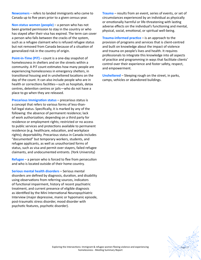**Newcomers** – refers to landed immigrants who came to Canada up to five years prior to a given census year.

**Non-status women (people)** – a person who has not been granted permission to stay in the country or who has stayed after their visa has expired. The term can cover a person who falls between the cracks of the system, such as a refugee claimant who is refused refugee status but not removed from Canada because of a situation of generalized risk in the country of origin.

**Point-in-Time (PiT)** – count is a one-day snapshot of homelessness in shelters and on the streets within a community. A PiT count estimates how many people are experiencing homelessness in emergency shelters, in transitional housing and in unsheltered locations on the day of the count. It can also include people who are in health or corrections facilities—such as hospitals, detox centres, detention centres or jails—who do not have a place to go when they are released.

**Precarious Immigration status** – precarious status is a concept that refers to various forms of less-thanfull legal status. Specifically, it is marked by any of the following: the absence of permanent residence; lack of work authorization; depending on a third party for residence or employment rights; restricted or no access to public services and protections available to permanent residence (e.g. healthcare, education, and workplace rights); deportability. Precarious status in Canada includes "documented" but temporary workers, students, and refugee applicants, as well as unauthorized forms of status, such as visa and permit over stayers, failed refugee claimants, and undocumented entrants. (York University)

**Refugee** – a person who is forced to flee from persecution and who is located outside of their home country.

**Serious mental health disorders** – Serious mental disorders are defined by diagnosis, duration, and disability using observations from referring sources, indicators of functional impairment, history of recent psychiatric treatment, and current presence of eligible diagnosis as identified by the Mini International Neuropsychiatric Interview (major depressive, manic or hypomanic episode, post-traumatic stress disorder, mood disorder with psychotic features, psychotic disorder).

**Trauma** – results from an event, series of events, or set of circumstances experienced by an individual as physically or emotionally harmful or life-threatening with lasting adverse effects on the individual's functioning and mental, physical, social, emotional, or spiritual well-being.

**Trauma-informed practice** – is an approach to the provision of programs and services that is client-centred and built on knowledge about the impact of violence and trauma on people's lives and health. It requires professionals to integrate this knowledge into all aspects of practice and programming in ways that facilitate clients' control over their experience and foster safety, respect, and empowerment.

**Unsheltered** – Sleeping rough on the street, in parks, camps, vehicles or abandoned buildings.

Page 27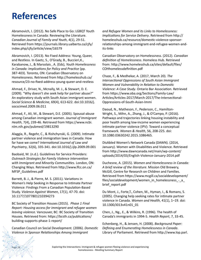# **References**

Abramovich, I. (2012). No Safe Place to Go: LGBQT Youth Homelessness in Canada: Reviewing the Literature. *Canadian Journal of Family and Youth*, 4(1), 29-51. Retrieved from https://journals.library.ualberta.ca/cjfy/ index.php/cjfy/article/view/16579

Abramovich, I. (2013). No Fixed Address: Young, Queer, and Restless. In Gaetz, S., O'Grady, B., Buccieri,K., Karabanow, J., & Marsolais , A. (Eds), *Youth Homelessness in Canada: Implications for Policy and Practice* (pp. 387-403). Toronto, ON: Canadian Observatory on Homelessness. Retrieved from http://homelesshub.ca/ resource/23-no-fixed-address-young-queer-and-restless

Ahmad, F., Driver, N., Mcnally, M. J., & Stewart, D. E. (2009). "Why doesn't she seek help for partner abuse?" An exploratory study with South Asian immigrant women. *Social Science & Medicine*, 69(4), 613-622. doi:10.1016/j. socscimed.2009.06.011

Ahmad, F., Ali, M., & Stewart, D.E. (2005). Spousal-abuse among Canadian immigrant women. *Journal of Immigrant Health*, 7(4), 239-46. Retrieved from https://www.ncbi. nlm.nih.gov/pubmed/19813290

Alaggia, R., Regehr, C., & Rishchynski, G. (2009). Intimate partner violence and immigration laws in Canada: How far have we come? *International Journal of Law and Psychiatry*, 32(6), 335-341. doi:10.1016/j.ijlp.2009.09.001

Baobaid, M. (n.d.). Guidelines for Service Providers: *Outreach Strategies for Family Violence Intervention with Immigrant and Minority Communities*. London, ON: Changing Ways. Retrieved from http://www.lfcc.on.ca/ MFSP\_Guidelines.pdf

Barrett, B. J., & Pierre, M. S. (2011). Variations in Women's Help Seeking in Response to Intimate Partner Violence: Findings From a Canadian Population-Based Study. *Violence Against Women*, 17(1), 47-70. doi: 10.1177/1077801210394273

BC Society of Transition Houses (2015). *Phase 1 Final Report: Housing access for immigrant and refugee women leaving violence.* Vancouver, BC: BC Society of Transition Houses. Retrieved from: https://bcsth.ca/publications/ building-supports-phase-1-report/

Canadian Council on Social Development. (2006). *Domestic Violence in Sponsor Relationships Among Immigrant* 

*and Refugee Women and its Links to Homelessness: Implications for Service Delivery*. Retrieved from http:// homelesshub.ca/resource/domestic-violence-sponsorrelationships-among-immigrant-and-refugee-women-andits-links

Canadian Observatory on Homelessness. (2012). *Canadian definition of Homelessness*. Homeless Hub. Retrieved from: http://www.homelesshub.ca/sites/default/files/ COHhomelessdefinition.pdf

Chaze, F., & Medhekar, A. (2017, March 20). *The Intersectional Oppressions of South Asian Immigrant Women and Vulnerability in Relation to Domestic Violence: A Case Study*. Ontario Bar Association. Retrieved from https://www.oba.org/Sections/Family-Law/ Articles/Articles-2017/March-2017/The-Intersectional-Oppressions-of-South-Asian-Immi

Daoud, N., Matheson, F., Pederson, C., Hamilton-Wright, S., Mihn, A., Zhang, J., & O'Campo, P. (2016). Pathways and trajectories linking housing instability and poor health among low-income women experiencing intimate partner violence (IPV): Toward a conceptual framework. *Women & Health*, 56, 208-225. doi: 10.1080.03630242.2015.1086465.

DisAbled Women's Network Canada (DAWN). (2014, January). Women with Disabilities and Violence. Retrieved from http://www.dawncanada.net/main/wp-content/ uploads/2014/03/English-Violence-January-2014.pdf

Duchesne, A. (2015). *Women and Homelessness in Canada: A brief review of the literature*. Mission Old Brewery, McGill, Centre for Research on Children and Families. Retrieved from https://www.mcgill.ca/socialdevelopment/ files/socialdevelopment/women\_in\_homelessness\_-\_a\_ brief\_report.pdf

Du Mont, J., Forte,T., Cohen, M., Hyman, I., & Romans, S. (2005). Changing help seeking rates for intimate partner violence in Canada. *Women and Health*, 41(1), 1–19. doi: 10.1300/J013v41n01\_01

Chen, J., Ng., E., & Wilkins, R. (1996). The health of Canada's immigrants in 1994-5. *Health Report*, 7, 33-45.

Echenberg, H., & Jensen, H. (2008). *Background Paper: Defining and Enumerating Homelessness in Canada*. Library of Parliament. Retrieved from http://www.lop.parl.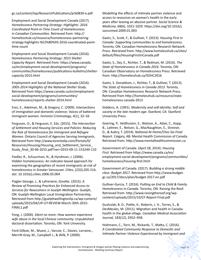gc.ca/content/lop/ResearchPublications/prb0830-e.pdf

Employment and Social Development Canada (2017). *Homelessness Partnering Strategy: Highlights- 2016 Coordinated Point-in-Time Count of Homelessness in Canadian Communities*. Retrieved from: http:// homelesshub.ca/resource/homelessness-partneringstrategy-highlights-%E2%80%93-2016-coordinated-pointtime-count

Employment and Social Development Canada (2016). *Homelessness Partnering Strategy: 2015 Shelter Capacity Report*. Retrieved from: https://www.canada. ca/en/employment-social-development/programs/ communities/homelessness/publications-bulletins/sheltercapacity-2015.html

Employment and Social Development Canada (2016). *2005-2014 Highlights of the National Shelter Study.* Retrieved from https://www.canada.ca/en/employmentsocial-development/programs/communities/ homelessness/reports-shelter-2014.html

Erez, E., Adelman, M., & Gregory, C. (2009). Intersections of immigration and domestic violence: Voices of battered immigrant women. *Feminist Criminology*, 4(1), 32–56

Ferguson, O., & Ferguson, E. Eds. (2015). *The Intersection of Settlement and Housing Services and Policies: Reducing the Risk of Homelessness for Immigrant and Refugee Women*. Ontario Council of Agencies Serving Immigrants. Retrieved from http://www.torontolip.com/Portals/0/ Resources/Housing/Housing\_and\_Settlement\_Service\_ Study\_final\_30-06-2015.pdf?ver=2015-09-11-153249-110

Fiedler, R., Schuurman, N., & Hyndman, J. (2006). Hidden homelessness: An indicator-based approach for examining the geographies of recent immigrants at-risk of homelessness in Greater Vancouver. *Cities*, (23)3,205-216. doi: 10.1016/j.cities.2006.03.004

Flagler-George, J., & Lafreniere, Ginette. (2015). *A Review of Promising Practices for Enhanced Access to Services for Newcomers in Guelph-Wellington*. Guelph, ON: Guelph-Wellington Local Immigration Partnership. Retrieved from http://guelphwellingtonlip.ca/wp-content/ uploads/2015/04/LIP-LIT-REVIEW-March-30th-2015- FINAL1.pdf

Fong, J. (2000). *Silent no more: How women experience wife abuse in the local Chinese community.* Unpublished doctoral dissertation. Toronto, ON: York University.

Ford-Gilboe, M., Wuest, J., Varcoe, C., Davies, Lorraine., Merritt-Gray, M., Campbell J., & Wilk, P. (2009).

Modelling the effects of intimate partner violence and access to resources on women's health in the early years after leaving an abusive partner. *Social Science & Medicine*, 68(6), 1021-1029. https://doi.org/10.1016/j. socscimed.2009.01.003

Gaetz, S., Scott, F., & Gulliver, T. (2013). *Housing First in Canada: Supporting communities to end homelessness.*  Toronto, ON: Canadian Homelessness Research Network Press. Retrieved from: http://www.homelesshub.ca/sites/ default/files/HousingFirstInCanada.pdf

Gaetz, S., Dej, E., Richter, T., & Redman, M. (2016). *The State of Homelessness in Canada 2016*. Toronto, ON: Canadian Observatory on Homelessness Press. Retrieved from: http://homelesshub.ca/SOHC2016

Gaetz, S. Donaldson, J., Richter, T., & Gulliver, T. (2013). *The State of Homelessness in Canada 2013.* Toronto, ON: Canadian Homelessness Research Network Press. Retrieved from http://homelesshub.ca/resource/statehomelessness-canada-2013

Giddens, A. (1991). *Modernity and self-identity: Self and society in the late modern age.* Stanford, CA: Stanford University Press.

Goering, P., Veldhuizen, S., Watson, A., Adair, C., Kopp, B., Latimer, E., Nelson, G., MacNaughton, E., Streiner, D., & Aubry, T. (2014). *National At Home/Chez Soi Final Report*. Calgary, AB: Mental Health Commission of Canada. Retrieved from: http://www.mentalhealthcommission.ca

Government of Canada. (April 28, 2014). *Housing First.* Retrieved from https://www.canada.ca/en/ employment-social-development/programs/communities/ homelessness/housing-first.html

Government of Canada. (2017). *Building a strong middle class: Budget 2017*. Retrieved from http://www.budget. gc.ca/2017/docs/plan/budget-2017-en.pdf

Gulliver-Garcia, T. (2016). *Putting an End to Child & Family Homelessness in Canada.* Toronto, ON: Raising the Roof. Retrieved from: http://www.raisingtheroof.org/wpcontent/uploads/2015/10/CF-Report-Final.pdf

Gushulak, B. D., Pottie, K., Roberts, J. H., Torres, S., & DesMeules, M. (2011). Migration and health in Canada: health in the global village. *Canadian Medical Association Journal,* 183(12), E952–958.

Holtmann, C., Torri, M., Rickards, T., Matta, C. (2016). *A Coordinated Community Response to Domestic and Intimate Partner Violence Experienced by Immigrant and*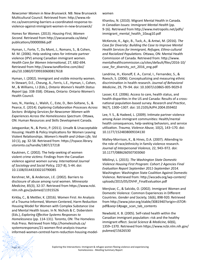*Newcomer Women in New Brunswick.* NB: New Brunswick Multicultural Council. Retrieved from: http://www.nbmc.ca/overcoming-barriers-a-coordinated-response-toviolence-against-immigrant-women-in-new-brunswick/

Homes for Women. (2013). *Housing First, Women Second.* Retrieved from http://ywcacanada.ca/data/ publications/00000066.pdf

Hyman, I., Forte, T., Du Mont, J., Romans, S., & Cohen, M. M. (2006). Help seeking rates for intimate partner violence (IPV) among Canadian immigrant women. *Health Care for Women International,* 27, 682-694. Retrieved from http://www.tandfonline.com/doi/ abs/10.1080/07399330600817618

Hyman, I. (2002). Immigrant and visible minority women. In Stewart, D.E., Cheung, A., Ferris, L.E., Hyman, I., Cohen, M., & Williams, I.J (Eds.), *Ontario Women's Health Status Report* (pp. 338-358). Ottawa, Ontario: Ontario Women's Health Council.

Ives, N., Hanley, J., Walsh, C., Este, D., Ben-Soltane, S., & Pearce, E. (2014). *Exploring Collaboration Processes Across Sectors: Bridging Services for Newcomer Women with Experiences Across the Homelessness Spectrum*. Ottawa, ON: Human Resources and Skills Development Canada.

Jategaonkar, N., & Ponic, P. (2011). Unsafe & Unacceptable Housing: Health & Policy Implications for Women Leaving Violent Relationships. *Women's Health and Urban Life,* Vol 10 (1), pg. 32-58. Retrieved from: https://tspace.library. utoronto.ca/handle/1807/27218

Kaukinen, C. (2002). The help-seeking of women violent crime victims: Findings from the Canadian violence against women survey. *International Journal of Sociology and Social Policy,* 22(7-8), 5-44. doi: 10.1108/01443330210790085

Kershner, M., & Anderson, J.E. (2002). Barriers to disclosure of abuse among rural women. *Minnesota Medicine,* 85(3), 32-37. Retrieved from https://www.ncbi. nlm.nih.gov/pubmed/11915526

Kirkby, C., & Mettler, K. (2016). Women First: An Analysis of a Trauma-Informed, Women-Centered, Harm Reduction Housing Model for Women with Complex Substance Use and Mental Health Issues. In N. Nichols & C. Doberstein (Eds.), *Exploring Effective Systems Responses to Homelessness* (pp. 114-131). Toronto, ON: The Homeless Hub Press. Retrieved from http://homelesshub.ca/ systemsresponses/21-women-first-analysis-traumainformed-women-centred-harm-reduction-housing-modelwomen

Khanlou, N. (2010). Migrant Mental Health in Canada. *In Canadian Issues: Immigrant Mental Health* (pp. 9-16). Retrieved from http://www.metropolis.net/pdfs/ immigrant\_mental\_health\_10aug10.pdf

McKenzie, K., Agic, B., Tuck, A., & Antwi, M. (2016). *The Case for Diversity: Building the Case to Improve Mental Health Services for Immigrant, Refugee, Ethno-cultural and Racialized Populations.* Ottawa, ON: Mental Health Commission of Canada. Retrieved from: http://www. mentalhealthcommission.ca/sites/default/files/2016-10/ case for diversity oct 2016 eng.pdf

Landrine, H., Klonoff, E. A., Corral, I., Fernandez, S., & Roesch, S. (2006). Conceptualizing and measuring ethnic discrimination in health research. *Journal of Behavioral Medicine*, 29, 79–94. doi: 10.1007/s10865-005-9029-0

Lasser, K.E. (2006). Access to care, health status, and health disparities in the US and Canada: Results of a crossnational population-based survey. *Research and Practice*, 96(7), 1300–1307. doi: 10.2105/AJPH.2004.059402

Lee, Y. S., & Hadeed, L. (2009). Intimate partner violence among Asian immigrant communities: Health/mental health consequences, help-seeking behaviors, and service utilization. *Trauma, Violence Abuse,* 10(2), 143–170. doi: 10.1177/1524838009334130

Malley-Morrison, K., & Hines, D.A. (2007). Attending to the role of race/ethnicity in family violence research. *Journal of Interpersonal Violence,* 22, 943–972. doi: 10.1177/0886260507303060

Mbilinyi, L. (2015). *The Washington State Domestic Violence Housing First Program: Cohort 2 Agencies Final Evaluation Report September 2011-September 2014.* Washington: Washington State Coalition Against Domestic Violence. Retrieved from: http://wscadv.org/wp-content/ uploads/2015/05/DVHF\_FinalEvaluation.pdf

Menjivar, C., & Salcido, O. (2002). Immigrant Women and Domestic Violence: Common Experiences in Different Countries. *Gender and Society,* 16(6), 898-920. Retrieved from http://www.jstor.org/stable/3081940?origin=JSTORpdf&seq=1#page\_scan\_tab\_contents

Newbold, K. B. (2005). Self-rated health within the Canadian immigrant population: risk and the healthy immigrant effect. *Social Science & Medicine,* 60(6), 1359–1370. Retrieved from https://www.ncbi.nlm.nih.gov/ pubmed/15626530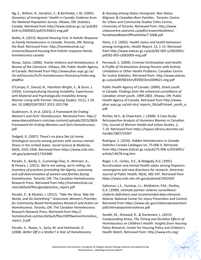Ng, E., Wilkins, R., Gendron, F., & Bertholet, J. M. (2005). *Dynamics of Immigrants' Health in Canada: Evidence from the National Population Survey.* Ottawa, ON: Statistics Canada. Retrieved from http://www.statcan.gc.ca/ pub/82- 618-m/2005002/pdf/4193621-eng.pdf

Noble, A. (2015). *Beyond Housing First: A Holistic Response to Family Homelessness in Canada.* Toronto, ON: Raising the Roof. Retrieved from: http://homelesshub.ca/ resource/beyond-housing-first-holistic-response-familyhomelessness-canada

Novac, Sylvia. (2006). *Family Violence and Homelessness: A Review of the Literature.* Ottawa, ON: Public Health Agency of Canada. Retrieved from http://www.phac-aspc.gc.ca/ sfv-avf/sources/fv/fv-homelessness-itinerance/index-eng. php#toc

O'Campo, P., Daoud, N., Hamilton-Wright, S., & Dunn, J. (2016). Conceptualizing Housing Instability: Experiences with Material and Psychologically Instability Among Women Living with Partner. *Housing Studies,* 31(1), 1-19. doi: 10.1080/02673037.2015.1021768

Oudshoorn, A. et al. (2015). *A Framework for Ending Women's and Girls' Homelessness.* Retrieved from: http:// www.abeoudshoorn.com/wp-content/uploads/2015/08/A-Framework-for-Ending-Womens-and-Girls-Homelessness. pdf

Padgett, D. (2007). There's no place like (a) home: Ontological security among persons with serious mental illness in the United States. *Social Science & Medicine,*  64(9), 1925-1936. Retrieved from https://www.ncbi.nlm. nih.gov/pubmed/17355900

Paradis, E., Bardy, S., Cummings-Diaz, P., Athmani, A., & Pereira, I. (2011). *We're not asking, we're telling: An Inventory of practices promoting the dignity, autonomy, and self-determination of women and families facing homelessness.* Toronto, ON: The Canadian Homelessness Research Press. Retrieved from http://homelesshub.ca/ sites/default/files/goodpractice\_report.pdf

Paradis, E., & Mosher, J. (2012). *"Take the Story, Take the Needs, and Do Something": Grassroots Women's Priorities for Community-Based Participatory Research and Action on Homelessness.* Toronto, ON: The Canadian Homelessness Research Network Press. Retrieved from http:// homelesshub.ca/sites/default/files/CBPRwomenhomeless\_ report\_0.pdf

Paradis, E., Novac, S., Sarty, M. and Hulchanski, D. (2008). *Better Off in a Shelter? A Year of Homelessness*  *& Housing among Status Immigrant, Non-Status Migrant, & Canadian-Born Families.* Toronto: Centre for Urban and Community Studies Cities Centre, University of Toronto. Retrieved from: http://www. urbancentre.utoronto.ca/pdfs/researchbulletins/ ParadisetalBetterOffinaShelter7-2008.pdf

Pérez, C.E. (2002). Health status and health behaviour among immigrants. *Health Report,* 13, 1-13. Retrieved from http://www.statcan.gc.ca/pub/82-003-s/2002001/ pdf/82-003-s2002005-eng.pdf

Perreault, S. (2009). *Criminal Victimization and Health: A Profile of Victimization Among Persons with Activity Limitations or Other Health Problems.* Canadian Centre for Justice Statistics. Retrieved from: http://www.statcan. gc.ca/pub/85f0033m/85f0033m2009021-eng.pdf

Public Health Agency of Canada. (2006). *Street youth in Canada: Findings from the enhanced surveillance of Canadian street youth, 1999-2003.* Ottawa, ON: Public Health Agency of Canada. Retrieved from http://www. phac-aspc.gc.ca/std-mts/ reports\_06/pdf/street\_youth\_e. pdf.

Richter, M.S., & Chaw-Kant, J. (2008). A Case Study: Retrospective Analysis of Homeless Women in Canadian City. *Journal of Women Health and Urban Studies,* 1, 7-19. Retrieved from https://tspace.library.utoronto.ca/ handle/1807/10367

Rodrigue, S. (2016). *Hidden Homelessness in Canada.* Statistics Canada Catalogue no. 75-006-X. Retrieved from http://www.statcan.gc.ca/pub/75-006-x/2016001/ article/14678-eng.htm

Roger, L.H., Cortes, D.E., & Malgady, R.G. (1991). Acculturation and mental health states among Hispanics: convergence and new directions for research. *American Journal of Public Health,* 96(4), 585-597. Retrieved from https://www.ncbi.nlm.nih.gov/pubmed/1952420

Saltzman, L.E., Fanslow, J.L., McMahon, P.M., Shelley, G.A. (1999). *Intimate partner violence surveillance: Uniform definitions and recommended data elements.*  Atlanta: National Center for Injury Prevention and Control. Retrieved from https://www.cdc.gov/violenceprevention/ pdf/intimatepartnerviolence.pdf

Sandel, M., Sheward, R., & Sturtevant, L. (2015) *Compounding Stress, The Timing and Duration Effects of Homelessness on Children's Health: Insights from Housing Policy Research.* Center for Housing Policy and Children's Health Watch. Retrieved from: http://www.nhc.org/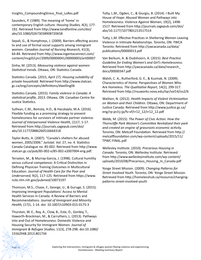#### Insights\_CompoundingStress\_final\_LoRes.pdf

Saunders, P. (1989). The meaning of 'home' in contemporary English culture. *Housing Studies,* 4(3), 177- 192. Retrieved from http://www.tandfonline.com/doi/ abs/10.1080/02673038908720658

Sepali, G., & Humphreys, J. (2009). Barriers affecting access to and use of formal social supports among immigrant women. *Canadian Journal of Nursing Research,* 41(3), 64-84. Retrieved from http://www.ingentaconnect.com/ content/mcgill/cjnr/2009/00000041/00000003/art00007

Sinha, M. (2013). *Measuring violence against women: Statistical trends.* Ottawa, ON: Statistics Canada.

Statistics Canada. (2015, April 27). *Housing suitability of private household.* Retrieved from http://www.statcan. gc.ca/eng/concepts/definitions/dwelling06

Statistics Canada. (2015). F*amily violence in Canada: A statistical profile, 2013.* Ottawa, ON: Canadian Centre for Justice Statistics.

Sullivan, C.M., Bomsta, H.D., & Hacskaylo, M.A. (2016). Flexible funding as a promising strategy to prevent homelessness for survivors of intimate partner violence. *Journal of Interpersonal Violence Health,* (1)17, 1-17. Retrieved from http://journals.sagepub.com/doi/ abs/10.1177/0886260516664318

Taylor-Butts, A. (2007). "Canada's shelters for abused women, 2005/2006." *Juristat.* Vol. 27, no. 4. Statistics Canada Catalogue no. 85-002. Retrieved from http://www. statcan.gc.ca/pub/85-002-x/85-002-x2007004-eng.pdf.

Tervalon, M., & Murray-Garcia, J. (1998). Cultural humility versus cultural competence: A Critical Distinction in Defining Physician Training Outcomes in Multicultural Education. *Journal of Health Care for the Poor and Underserved,* 9(2), 117-125. Retrieved from https://www. ncbi.nlm.nih.gov/pubmed/10073197

Thomson, M.S., Chaze, F., George, U., & Guruge, S. (2015). Improving Immigrant Populations' Access to Mental Health Services in Canada: A Review of Barriers and Recommendations. *Journal of Immigrant and Minority Health,* (17)1, 1-14. doi: 10.1007/s10903-015-0175-3

Thurston, W. E., Roy, A., Clow, B., Este, D., Gordey, T., Haworth-Brockman, M., & Carruthers, L. (2013). Pathways Into and Out of Homelessness: Domestic Violence and Housing Security for Immigrant Women. *Journal of Immigrant & Refugee Studies,* 11(3), 278-298. doi:10.1080/ 15562948.2013.801734

Tutty, L.M., Ogden, C., & Giurgiu, B. (2014). I Built My House of Hope: Abused Women and Pathways into Homelessness. Violence Against Women, 19(2), 1498- 1517. Retrieved from http://journals.sagepub.com/doi/ abs/10.1177/1077801213517514

Tutty, L.M. Effective Practices in Sheltering Women Leaving Violence in Intimate Relationships. Toronto, ON: YWCA Toronto. Retrieved from http://ywcacanada.ca/data/ publications/00000013.pdf

Van Berkum, A. & Oudshoorn, A. (2015). *Best Practice Guideline for Ending Women's and Girl's Homelessness.*  Retrieved from http://ywcacanada.ca/data/research\_ docs/00000347.pdf

Walsh, C. A., Rutherford, G. E., & Kuzmak, N. (2009). Characteristics of Home: Perspectives of Women Who Are Homeless. *The Qualitative Report,* 14(2), 299-317. Retrieved from http://nsuworks.nova.edu/tqr/vol14/iss2/6

Wathen, N. (2012). *Health Impacts of Violent Victimization on Women and their Children.* Ottawa, ON: Department of Justice Canada. Retrieved from http://www.justice.gc.ca/ eng/rp-pr/cj-jp/fv-vf/rr12\_12/rr12\_12.pdf

Webb, M. (2015). *The Power of Civic Action: How the Thorncliffe Park Women's Committee Revitalized their park and created an engine of grassroots economic activity.*  Toronto, ON: Metcalf Foundation. Retrieved from http:// metcalffoundation.com/wp-content/uploads/2015/11/ TPWC-FINAL.pdf

Wellesley Institute. (2010). *Precarious Housing in Canada.* Toronto, ON: Wellesley Institute. Retrieved from http://www.wellesleyinstitute.com/wp content/ uploads/2010/08/Precarious Housing In Canada.pdf

Yonge Street Mission. (2009). *Changing Patterns for Street Involved Youth.* Toronto, ON: Yonge Street Mission. Retrieved from http://homelesshub.ca/resource/changingpatterns-street-involved-youth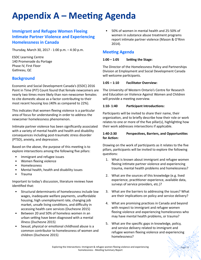# **Appendix A – Meeting Agenda**

## **Immigrant and Refugee Women Fleeing Intimate Partner Violence and Experiencing Homelessness in Canada**

Thursday, March 30, 2017 - 1:00 p.m. – 4:30 p.m.

ESDC Learning Centre 140 Promenade du Portage Phase IV, First Floor Gatineau, QC

## **Background**

Economic and Social Development Canada's (ESDC) 2016 Point in Time (PiT) Count found that female newcomers are nearly two times more likely than non-newcomer females to cite domestic abuse as a factor contributing to their most recent housing loss (40% as compared to 22%).

This indicates that women fleeing violence is a particular area of focus for understanding in order to address the newcomer homelessness phenomenon.

Intimate partner violence has been significantly associated with a variety of mental health and health and disability consequences including post-traumatic stress disorder (PTSD), anxiety, and depression.

Based on the above, the purpose of this meeting is to explore intersections among the following five pillars:

- Immigrant and refugee issues
- Women fleeing violence
- Homelessness
- Mental health, health and disability issues
- Trauma

Important to today's discussion, literature reviews have identified that:

- Structural determinants of homelessness include low wages, inadequate welfare payments, unaffordable housing, high unemployment rate, changing job market, unsafe living conditions, and difficulty in accessing health care services (Duchesne 2015)
- Between 20 and 50% of homeless women in an urban setting have been diagnosed with a mental illness (Duchesne 2015)
- Sexual, physical or emotional childhood abuse is a common contributor to homelessness of women and children (Duchesne 2015)

• 50% of women in mental health and 25-50% of women in substance abuse treatment programs report intimate partner violence (Mason & O'Rinn 2014).

### **Meeting Agenda**

#### **1:00 – 1:05 Setting the Stage:**

The Director of the Homelessness Policy and Partnerships Division at Employment and Social Development Canada will welcome participants.

#### **1:05 – 1:10 Facilitator Overview:**

The University of Western Ontario's Centre for Research and Education on Violence Against Women and Children will provide a meeting overview.

#### **1:10- 1:40 Participant Introductions:**

Participants will be invited to share their name, their organization, and to briefly describe how their role or work relates to one or more of the five pillar(s), highlighting how their work addresses intersections if applicable.

### **1:40-2:30 Perspectives, Barriers, and Opportunities for Action:**

Drawing on the work of participants as it relates to the five pillars, participants will be invited to explore the following questions:

- 1. What is known about immigrant and refugee women fleeing intimate partner violence and experiencing trauma, mental health problems and homelessness?
- 2. What are the sources of this knowledge (e.g. lived experience, practitioner experience, available data, surveys of service providers, etc.)?
- 3. What are the barriers to addressing the issues? What are their implications on policy and service delivery?
- 4. What are promising practices in Canada and beyond with respect to immigrant and refugee women fleeing violence and experiencing homelessness who may have mental health problems, or trauma?
- 5. What are the specific gaps in knowledge, policy, and service delivery related to immigrant and refugee women fleeing violence and experiencing homelessness?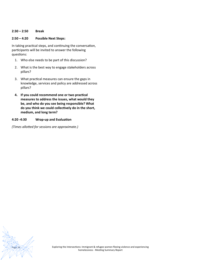#### **2:30 – 2:50 Break**

#### **2:50 – 4:20 Possible Next Steps:**

In taking practical steps, and continuing the conversation, participants will be invited to answer the following questions:

- 1. Who else needs to be part of this discussion?
- 2. What is the best way to engage stakeholders across pillars?
- 3. What practical measures can ensure the gaps in knowledge, services and policy are addressed across pillars?
- **4. If you could recommend one or two practical measures to address the issues, what would they be, and who do you see being responsible? What do you think we could collectively do in the short, medium, and long term?**

#### **4:20 -4:30 Wrap-up and Evaluation**

*(Times allotted for sessions are approximate.)*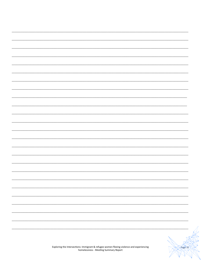|  |  | —                        |
|--|--|--------------------------|
|  |  | —                        |
|  |  |                          |
|  |  | —                        |
|  |  | $\overline{\phantom{0}}$ |
|  |  |                          |
|  |  | —                        |
|  |  | —                        |
|  |  |                          |
|  |  | —                        |

Ų

Š

荩

L,